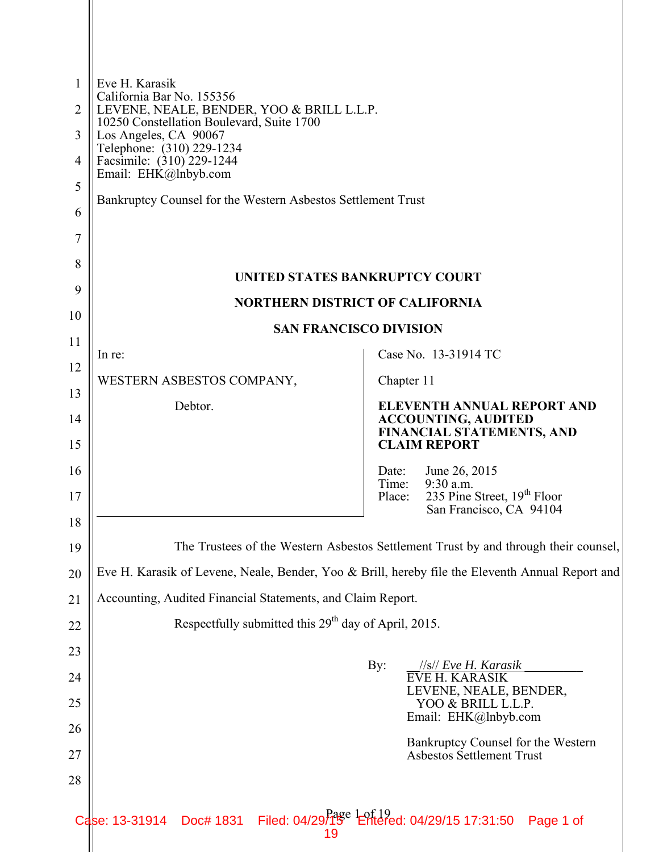| 1        | Eve H. Karasik                                                                                                                                                  |                                                                                     |
|----------|-----------------------------------------------------------------------------------------------------------------------------------------------------------------|-------------------------------------------------------------------------------------|
| 2        | California Bar No. 155356<br>LEVENE, NEALE, BENDER, YOO & BRILL L.L.P.                                                                                          |                                                                                     |
| 3        | 10250 Constellation Boulevard, Suite 1700<br>Los Angeles, CA 90067                                                                                              |                                                                                     |
| 4        | Telephone: (310) 229-1234<br>Facsimile: (310) 229-1244                                                                                                          |                                                                                     |
| 5        | Email: EHK@Inbyb.com                                                                                                                                            |                                                                                     |
| 6        | Bankruptcy Counsel for the Western Asbestos Settlement Trust                                                                                                    |                                                                                     |
| 7        |                                                                                                                                                                 |                                                                                     |
| 8        | UNITED STATES BANKRUPTCY COURT                                                                                                                                  |                                                                                     |
| 9        | <b>NORTHERN DISTRICT OF CALIFORNIA</b>                                                                                                                          |                                                                                     |
| 10       | <b>SAN FRANCISCO DIVISION</b>                                                                                                                                   |                                                                                     |
| 11       | In re:                                                                                                                                                          | Case No. 13-31914 TC                                                                |
| 12<br>13 | WESTERN ASBESTOS COMPANY,                                                                                                                                       | Chapter 11                                                                          |
| 14       | Debtor.                                                                                                                                                         | <b>ELEVENTH ANNUAL REPORT AND</b><br><b>ACCOUNTING, AUDITED</b>                     |
| 15       |                                                                                                                                                                 | FINANCIAL STATEMENTS, AND<br><b>CLAIM REPORT</b>                                    |
| 16       |                                                                                                                                                                 | June 26, 2015<br>Date:<br>Time:<br>9:30 a.m.                                        |
| 17       |                                                                                                                                                                 | 235 Pine Street, 19 <sup>th</sup> Floor<br>Place:<br>San Francisco, CA 94104        |
| 18       |                                                                                                                                                                 |                                                                                     |
| 19       |                                                                                                                                                                 | The Trustees of the Western Asbestos Settlement Trust by and through their counsel, |
| 20       | Eve H. Karasik of Levene, Neale, Bender, Yoo & Brill, hereby file the Eleventh Annual Report and<br>Accounting, Audited Financial Statements, and Claim Report. |                                                                                     |
| 21<br>22 | Respectfully submitted this 29 <sup>th</sup> day of April, 2015.                                                                                                |                                                                                     |
| 23       |                                                                                                                                                                 |                                                                                     |
| 24       |                                                                                                                                                                 | $\rm By:$<br>//s// Eve H. Karasik<br><b>EVE H. KARASIK</b>                          |
| 25       |                                                                                                                                                                 | LEVENE, NEALE, BENDER,<br>YOO & BRILL L.L.P.<br>Email: EHK@lnbyb.com                |
| 26       |                                                                                                                                                                 | Bankruptcy Counsel for the Western                                                  |
| 27       |                                                                                                                                                                 | <b>Asbestos Settlement Trust</b>                                                    |
| 28       |                                                                                                                                                                 |                                                                                     |
|          | Doc# 1831 Filed: 04/29/15 <sup>e</sup> Entered: 04/29/15 17:31:50<br>Case: 13-31914<br>19                                                                       | Page 1 of                                                                           |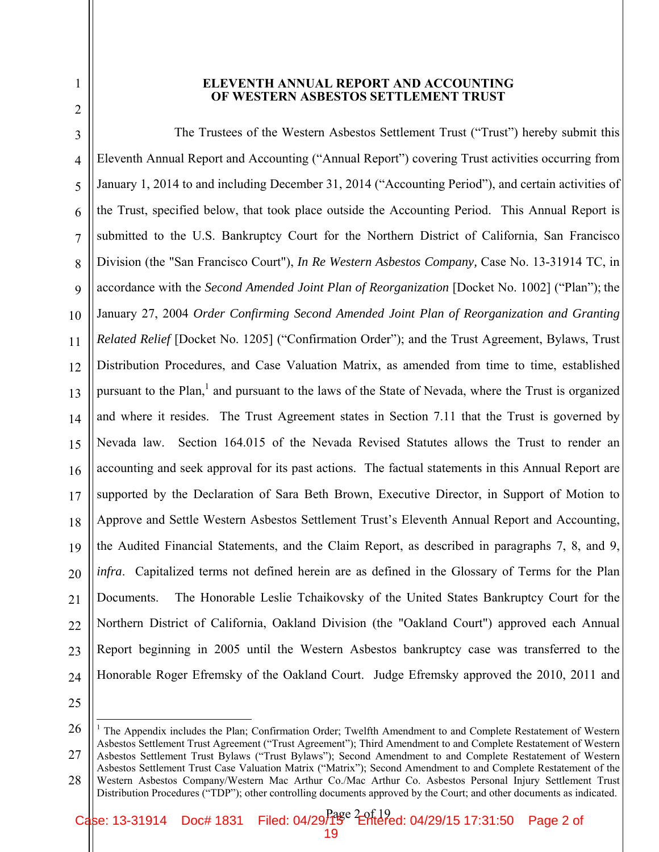#### **ELEVENTH ANNUAL REPORT AND ACCOUNTING OF WESTERN ASBESTOS SETTLEMENT TRUST**

3 4 5 6 7 8 9 10 11 12 13 14 15 16 17 18 19 20 21 22 23 24 The Trustees of the Western Asbestos Settlement Trust ("Trust") hereby submit this Eleventh Annual Report and Accounting ("Annual Report") covering Trust activities occurring from January 1, 2014 to and including December 31, 2014 ("Accounting Period"), and certain activities of the Trust, specified below, that took place outside the Accounting Period. This Annual Report is submitted to the U.S. Bankruptcy Court for the Northern District of California, San Francisco Division (the "San Francisco Court"), *In Re Western Asbestos Company,* Case No. 13-31914 TC, in accordance with the *Second Amended Joint Plan of Reorganization* [Docket No. 1002] ("Plan"); the January 27, 2004 *Order Confirming Second Amended Joint Plan of Reorganization and Granting Related Relief* [Docket No. 1205] ("Confirmation Order"); and the Trust Agreement, Bylaws, Trust Distribution Procedures, and Case Valuation Matrix, as amended from time to time, established pursuant to the Plan,<sup>1</sup> and pursuant to the laws of the State of Nevada, where the Trust is organized and where it resides. The Trust Agreement states in Section 7.11 that the Trust is governed by Nevada law. Section 164.015 of the Nevada Revised Statutes allows the Trust to render an accounting and seek approval for its past actions. The factual statements in this Annual Report are supported by the Declaration of Sara Beth Brown, Executive Director, in Support of Motion to Approve and Settle Western Asbestos Settlement Trust's Eleventh Annual Report and Accounting, the Audited Financial Statements, and the Claim Report, as described in paragraphs 7, 8, and 9, *infra*. Capitalized terms not defined herein are as defined in the Glossary of Terms for the Plan Documents. The Honorable Leslie Tchaikovsky of the United States Bankruptcy Court for the Northern District of California, Oakland Division (the "Oakland Court") approved each Annual Report beginning in 2005 until the Western Asbestos bankruptcy case was transferred to the Honorable Roger Efremsky of the Oakland Court. Judge Efremsky approved the 2010, 2011 and

25

1

<sup>26</sup> 27 28 <sup>1</sup> The Appendix includes the Plan; Confirmation Order; Twelfth Amendment to and Complete Restatement of Western Asbestos Settlement Trust Agreement ("Trust Agreement"); Third Amendment to and Complete Restatement of Western Asbestos Settlement Trust Bylaws ("Trust Bylaws"); Second Amendment to and Complete Restatement of Western Asbestos Settlement Trust Case Valuation Matrix ("Matrix"); Second Amendment to and Complete Restatement of the Western Asbestos Company/Western Mac Arthur Co./Mac Arthur Co. Asbestos Personal Injury Settlement Trust Distribution Procedures ("TDP"); other controlling documents approved by the Court; and other documents as indicated.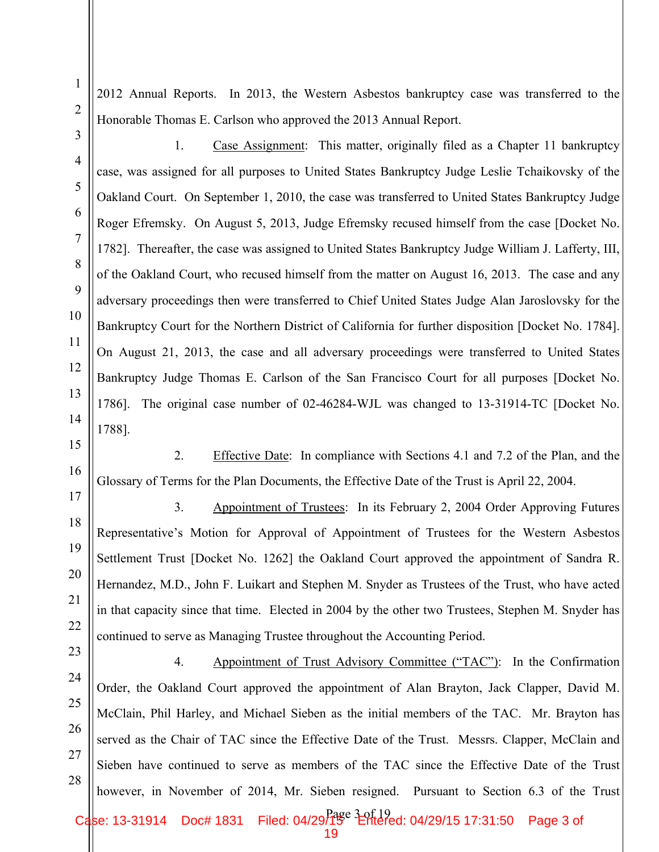2012 Annual Reports. In 2013, the Western Asbestos bankruptcy case was transferred to the Honorable Thomas E. Carlson who approved the 2013 Annual Report.

1. Case Assignment: This matter, originally filed as a Chapter 11 bankruptcy case, was assigned for all purposes to United States Bankruptcy Judge Leslie Tchaikovsky of the Oakland Court. On September 1, 2010, the case was transferred to United States Bankruptcy Judge Roger Efremsky. On August 5, 2013, Judge Efremsky recused himself from the case [Docket No. 1782]. Thereafter, the case was assigned to United States Bankruptcy Judge William J. Lafferty, III, of the Oakland Court, who recused himself from the matter on August 16, 2013. The case and any adversary proceedings then were transferred to Chief United States Judge Alan Jaroslovsky for the Bankruptcy Court for the Northern District of California for further disposition [Docket No. 1784]. On August 21, 2013, the case and all adversary proceedings were transferred to United States Bankruptcy Judge Thomas E. Carlson of the San Francisco Court for all purposes [Docket No. 1786]. The original case number of 02-46284-WJL was changed to 13-31914-TC [Docket No. 1788].

2. Effective Date: In compliance with Sections 4.1 and 7.2 of the Plan, and the Glossary of Terms for the Plan Documents, the Effective Date of the Trust is April 22, 2004.

3. Appointment of Trustees: In its February 2, 2004 Order Approving Futures Representative's Motion for Approval of Appointment of Trustees for the Western Asbestos Settlement Trust [Docket No. 1262] the Oakland Court approved the appointment of Sandra R. Hernandez, M.D., John F. Luikart and Stephen M. Snyder as Trustees of the Trust, who have acted in that capacity since that time. Elected in 2004 by the other two Trustees, Stephen M. Snyder has continued to serve as Managing Trustee throughout the Accounting Period.

28 4. Appointment of Trust Advisory Committee ("TAC"): In the Confirmation Order, the Oakland Court approved the appointment of Alan Brayton, Jack Clapper, David M. McClain, Phil Harley, and Michael Sieben as the initial members of the TAC. Mr. Brayton has served as the Chair of TAC since the Effective Date of the Trust. Messrs. Clapper, McClain and Sieben have continued to serve as members of the TAC since the Effective Date of the Trust however, in November of 2014, Mr. Sieben resigned. Pursuant to Section 6.3 of the Trust

1

2

3

4

5

6

7

8

9

10

11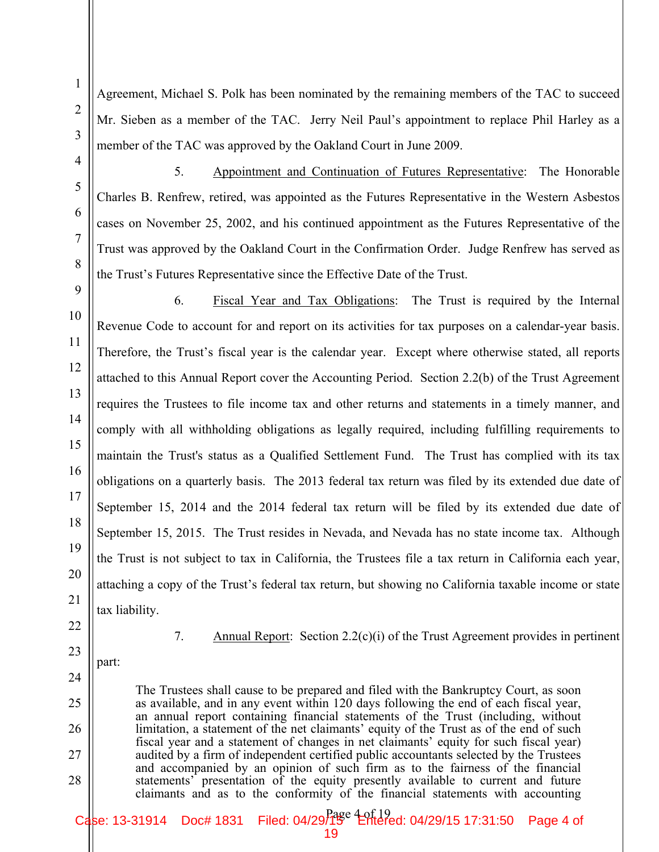Agreement, Michael S. Polk has been nominated by the remaining members of the TAC to succeed Mr. Sieben as a member of the TAC. Jerry Neil Paul's appointment to replace Phil Harley as a member of the TAC was approved by the Oakland Court in June 2009.

5. Appointment and Continuation of Futures Representative: The Honorable Charles B. Renfrew, retired, was appointed as the Futures Representative in the Western Asbestos cases on November 25, 2002, and his continued appointment as the Futures Representative of the Trust was approved by the Oakland Court in the Confirmation Order. Judge Renfrew has served as the Trust's Futures Representative since the Effective Date of the Trust.

6. Fiscal Year and Tax Obligations: The Trust is required by the Internal Revenue Code to account for and report on its activities for tax purposes on a calendar-year basis. Therefore, the Trust's fiscal year is the calendar year. Except where otherwise stated, all reports attached to this Annual Report cover the Accounting Period. Section 2.2(b) of the Trust Agreement requires the Trustees to file income tax and other returns and statements in a timely manner, and comply with all withholding obligations as legally required, including fulfilling requirements to maintain the Trust's status as a Qualified Settlement Fund. The Trust has complied with its tax obligations on a quarterly basis. The 2013 federal tax return was filed by its extended due date of September 15, 2014 and the 2014 federal tax return will be filed by its extended due date of September 15, 2015. The Trust resides in Nevada, and Nevada has no state income tax. Although the Trust is not subject to tax in California, the Trustees file a tax return in California each year, attaching a copy of the Trust's federal tax return, but showing no California taxable income or state tax liability.

22 23

24

25

26

27

28

1

2

3

4

5

6

7

8

9

10

11

12

13

14

15

16

17

18

19

20

21

- 7. Annual Report: Section 2.2(c)(i) of the Trust Agreement provides in pertinent
- part:

The Trustees shall cause to be prepared and filed with the Bankruptcy Court, as soon as available, and in any event within 120 days following the end of each fiscal year, an annual report containing financial statements of the Trust (including, without limitation, a statement of the net claimants' equity of the Trust as of the end of such fiscal year and a statement of changes in net claimants' equity for such fiscal year) audited by a firm of independent certified public accountants selected by the Trustees and accompanied by an opinion of such firm as to the fairness of the financial statements' presentation of the equity presently available to current and future claimants and as to the conformity of the financial statements with accounting

Case: 13-31914 Doc# 1831 Filed: 04/29 f1 Perfered: 04/29/15 17:31:50 Page 4 of 19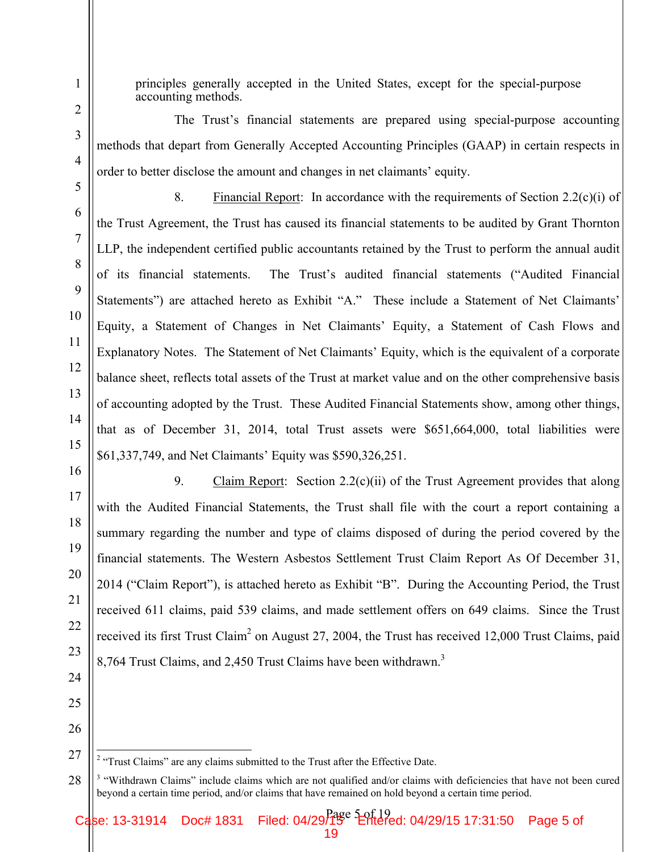9

10

11

12

13

14

15

principles generally accepted in the United States, except for the special-purpose accounting methods.

The Trust's financial statements are prepared using special-purpose accounting methods that depart from Generally Accepted Accounting Principles (GAAP) in certain respects in order to better disclose the amount and changes in net claimants' equity.

8. Financial Report: In accordance with the requirements of Section 2.2(c)(i) of the Trust Agreement, the Trust has caused its financial statements to be audited by Grant Thornton LLP, the independent certified public accountants retained by the Trust to perform the annual audit of its financial statements. The Trust's audited financial statements ("Audited Financial Statements") are attached hereto as Exhibit "A." These include a Statement of Net Claimants' Equity, a Statement of Changes in Net Claimants' Equity, a Statement of Cash Flows and Explanatory Notes. The Statement of Net Claimants' Equity, which is the equivalent of a corporate balance sheet, reflects total assets of the Trust at market value and on the other comprehensive basis of accounting adopted by the Trust. These Audited Financial Statements show, among other things, that as of December 31, 2014, total Trust assets were \$651,664,000, total liabilities were \$61,337,749, and Net Claimants' Equity was \$590,326,251.

16

17

18

19

20

21

22

23

24

9. Claim Report: Section 2.2(c)(ii) of the Trust Agreement provides that along with the Audited Financial Statements, the Trust shall file with the court a report containing a summary regarding the number and type of claims disposed of during the period covered by the financial statements. The Western Asbestos Settlement Trust Claim Report As Of December 31, 2014 ("Claim Report"), is attached hereto as Exhibit "B". During the Accounting Period, the Trust received 611 claims, paid 539 claims, and made settlement offers on 649 claims. Since the Trust received its first Trust Claim<sup>2</sup> on August 27, 2004, the Trust has received 12,000 Trust Claims, paid 8,764 Trust Claims, and 2,450 Trust Claims have been withdrawn.<sup>3</sup>

25 26

<sup>27</sup>  $2$  "Trust Claims" are any claims submitted to the Trust after the Effective Date.

<sup>28</sup> <sup>3</sup> "Withdrawn Claims" include claims which are not qualified and/or claims with deficiencies that have not been cured beyond a certain time period, and/or claims that have remained on hold beyond a certain time period.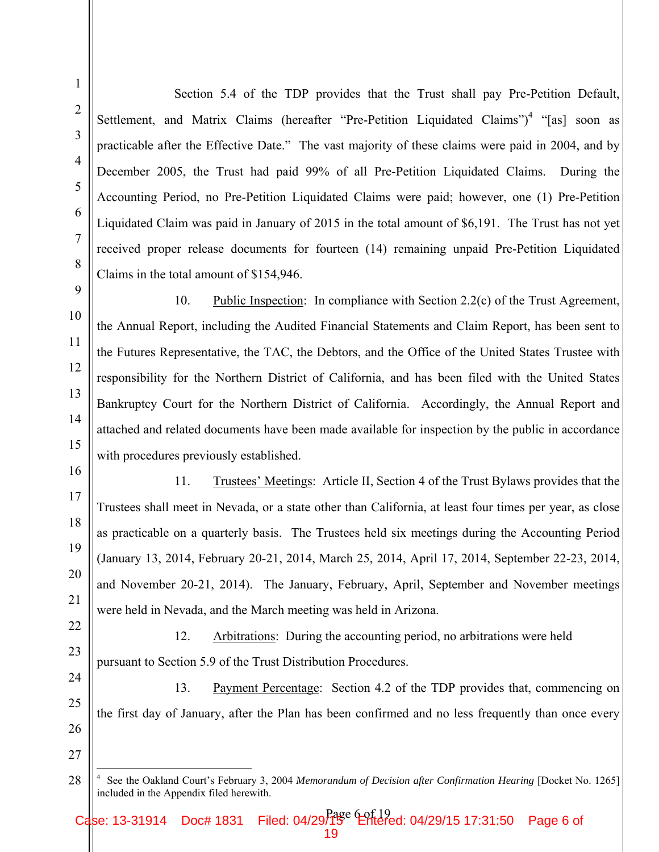Section 5.4 of the TDP provides that the Trust shall pay Pre-Petition Default, Settlement, and Matrix Claims (hereafter "Pre-Petition Liquidated Claims")<sup>4</sup> "[as] soon as practicable after the Effective Date." The vast majority of these claims were paid in 2004, and by December 2005, the Trust had paid 99% of all Pre-Petition Liquidated Claims. During the Accounting Period, no Pre-Petition Liquidated Claims were paid; however, one (1) Pre-Petition Liquidated Claim was paid in January of 2015 in the total amount of \$6,191. The Trust has not yet received proper release documents for fourteen (14) remaining unpaid Pre-Petition Liquidated Claims in the total amount of \$154,946.

10. Public Inspection: In compliance with Section 2.2(c) of the Trust Agreement, the Annual Report, including the Audited Financial Statements and Claim Report, has been sent to the Futures Representative, the TAC, the Debtors, and the Office of the United States Trustee with responsibility for the Northern District of California, and has been filed with the United States Bankruptcy Court for the Northern District of California. Accordingly, the Annual Report and attached and related documents have been made available for inspection by the public in accordance with procedures previously established.

11. Trustees' Meetings: Article II, Section 4 of the Trust Bylaws provides that the Trustees shall meet in Nevada, or a state other than California, at least four times per year, as close as practicable on a quarterly basis. The Trustees held six meetings during the Accounting Period (January 13, 2014, February 20-21, 2014, March 25, 2014, April 17, 2014, September 22-23, 2014, and November 20-21, 2014). The January, February, April, September and November meetings were held in Nevada, and the March meeting was held in Arizona.

12. Arbitrations: During the accounting period, no arbitrations were held pursuant to Section 5.9 of the Trust Distribution Procedures.

13. Payment Percentage: Section 4.2 of the TDP provides that, commencing on the first day of January, after the Plan has been confirmed and no less frequently than once every

 4 See the Oakland Court's February 3, 2004 *Memorandum of Decision after Confirmation Hearing* [Docket No. 1265] included in the Appendix filed herewith.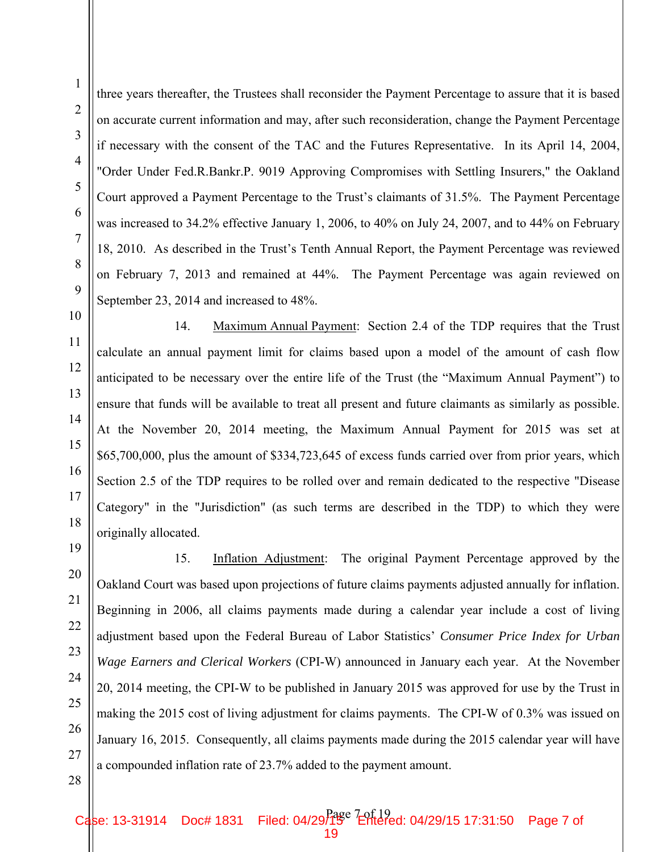three years thereafter, the Trustees shall reconsider the Payment Percentage to assure that it is based on accurate current information and may, after such reconsideration, change the Payment Percentage if necessary with the consent of the TAC and the Futures Representative. In its April 14, 2004, "Order Under Fed.R.Bankr.P. 9019 Approving Compromises with Settling Insurers," the Oakland Court approved a Payment Percentage to the Trust's claimants of 31.5%. The Payment Percentage was increased to 34.2% effective January 1, 2006, to 40% on July 24, 2007, and to 44% on February 18, 2010. As described in the Trust's Tenth Annual Report, the Payment Percentage was reviewed on February 7, 2013 and remained at 44%. The Payment Percentage was again reviewed on September 23, 2014 and increased to 48%.

14. Maximum Annual Payment: Section 2.4 of the TDP requires that the Trust calculate an annual payment limit for claims based upon a model of the amount of cash flow anticipated to be necessary over the entire life of the Trust (the "Maximum Annual Payment") to ensure that funds will be available to treat all present and future claimants as similarly as possible. At the November 20, 2014 meeting, the Maximum Annual Payment for 2015 was set at \$65,700,000, plus the amount of \$334,723,645 of excess funds carried over from prior years, which Section 2.5 of the TDP requires to be rolled over and remain dedicated to the respective "Disease Category" in the "Jurisdiction" (as such terms are described in the TDP) to which they were originally allocated.

15. Inflation Adjustment: The original Payment Percentage approved by the Oakland Court was based upon projections of future claims payments adjusted annually for inflation. Beginning in 2006, all claims payments made during a calendar year include a cost of living adjustment based upon the Federal Bureau of Labor Statistics' *Consumer Price Index for Urban Wage Earners and Clerical Workers* (CPI-W) announced in January each year. At the November 20, 2014 meeting, the CPI-W to be published in January 2015 was approved for use by the Trust in making the 2015 cost of living adjustment for claims payments. The CPI-W of 0.3% was issued on January 16, 2015. Consequently, all claims payments made during the 2015 calendar year will have a compounded inflation rate of 23.7% added to the payment amount.

1

2

3

4

5

6

7

8

9

10

11

12

13

Case: 13-31914 Doc# 1831 Filed: 04/29 f1 Perfered: 04/29/15 17:31:50 Page 7 of 19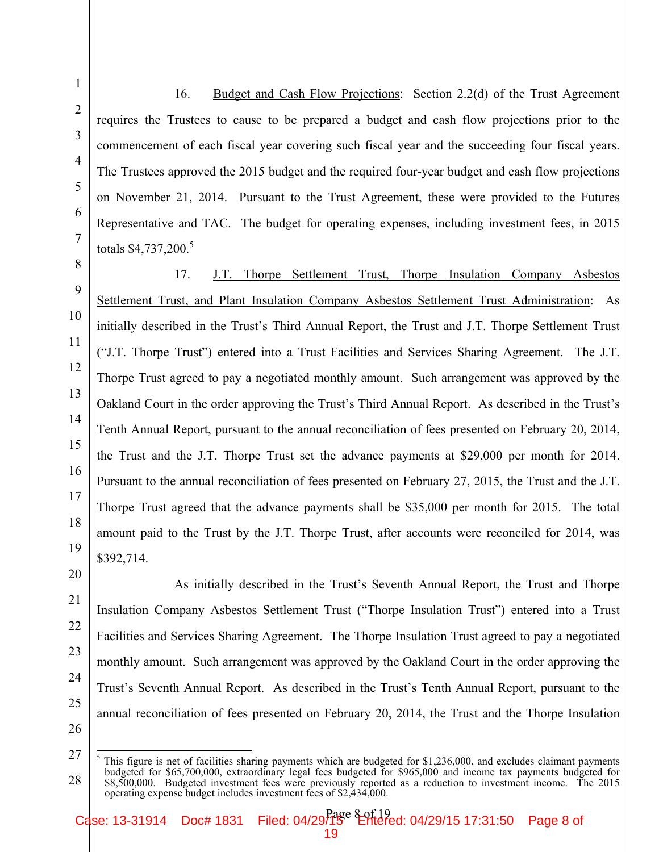16. Budget and Cash Flow Projections: Section 2.2(d) of the Trust Agreement requires the Trustees to cause to be prepared a budget and cash flow projections prior to the commencement of each fiscal year covering such fiscal year and the succeeding four fiscal years. The Trustees approved the 2015 budget and the required four-year budget and cash flow projections on November 21, 2014. Pursuant to the Trust Agreement, these were provided to the Futures Representative and TAC. The budget for operating expenses, including investment fees, in 2015 totals  $$4,737,200$ <sup>5</sup>

17. J.T. Thorpe Settlement Trust, Thorpe Insulation Company Asbestos Settlement Trust, and Plant Insulation Company Asbestos Settlement Trust Administration: As initially described in the Trust's Third Annual Report, the Trust and J.T. Thorpe Settlement Trust ("J.T. Thorpe Trust") entered into a Trust Facilities and Services Sharing Agreement. The J.T. Thorpe Trust agreed to pay a negotiated monthly amount. Such arrangement was approved by the Oakland Court in the order approving the Trust's Third Annual Report. As described in the Trust's Tenth Annual Report, pursuant to the annual reconciliation of fees presented on February 20, 2014, the Trust and the J.T. Thorpe Trust set the advance payments at \$29,000 per month for 2014. Pursuant to the annual reconciliation of fees presented on February 27, 2015, the Trust and the J.T. Thorpe Trust agreed that the advance payments shall be \$35,000 per month for 2015. The total amount paid to the Trust by the J.T. Thorpe Trust, after accounts were reconciled for 2014, was \$392,714.

As initially described in the Trust's Seventh Annual Report, the Trust and Thorpe Insulation Company Asbestos Settlement Trust ("Thorpe Insulation Trust") entered into a Trust Facilities and Services Sharing Agreement. The Thorpe Insulation Trust agreed to pay a negotiated monthly amount. Such arrangement was approved by the Oakland Court in the order approving the Trust's Seventh Annual Report. As described in the Trust's Tenth Annual Report, pursuant to the annual reconciliation of fees presented on February 20, 2014, the Trust and the Thorpe Insulation

1

2

<sup>27</sup> 28  5 This figure is net of facilities sharing payments which are budgeted for \$1,236,000, and excludes claimant payments budgeted for \$65,700,000, extraordinary legal fees budgeted for \$965,000 and income tax payments budgeted for \$8,500,000. Budgeted investment fees were previously reported as a reduction to investment income. The 2015 operating expense budget includes investment fees of \$2,434,000.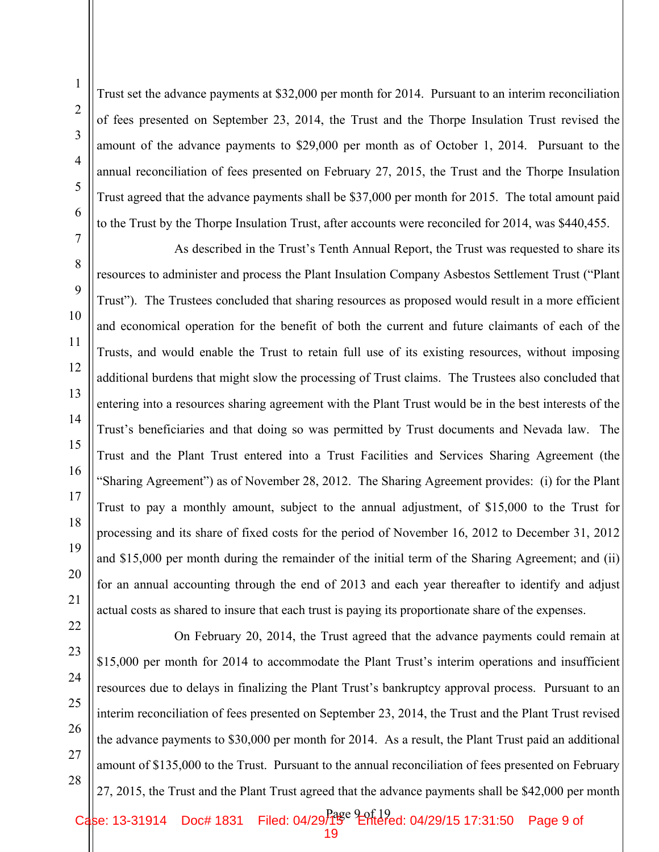1

Trust set the advance payments at \$32,000 per month for 2014. Pursuant to an interim reconciliation of fees presented on September 23, 2014, the Trust and the Thorpe Insulation Trust revised the amount of the advance payments to \$29,000 per month as of October 1, 2014. Pursuant to the annual reconciliation of fees presented on February 27, 2015, the Trust and the Thorpe Insulation Trust agreed that the advance payments shall be \$37,000 per month for 2015. The total amount paid to the Trust by the Thorpe Insulation Trust, after accounts were reconciled for 2014, was \$440,455.

As described in the Trust's Tenth Annual Report, the Trust was requested to share its resources to administer and process the Plant Insulation Company Asbestos Settlement Trust ("Plant Trust"). The Trustees concluded that sharing resources as proposed would result in a more efficient and economical operation for the benefit of both the current and future claimants of each of the Trusts, and would enable the Trust to retain full use of its existing resources, without imposing additional burdens that might slow the processing of Trust claims. The Trustees also concluded that entering into a resources sharing agreement with the Plant Trust would be in the best interests of the Trust's beneficiaries and that doing so was permitted by Trust documents and Nevada law. The Trust and the Plant Trust entered into a Trust Facilities and Services Sharing Agreement (the "Sharing Agreement") as of November 28, 2012. The Sharing Agreement provides: (i) for the Plant Trust to pay a monthly amount, subject to the annual adjustment, of \$15,000 to the Trust for processing and its share of fixed costs for the period of November 16, 2012 to December 31, 2012 and \$15,000 per month during the remainder of the initial term of the Sharing Agreement; and (ii) for an annual accounting through the end of 2013 and each year thereafter to identify and adjust actual costs as shared to insure that each trust is paying its proportionate share of the expenses.

 On February 20, 2014, the Trust agreed that the advance payments could remain at \$15,000 per month for 2014 to accommodate the Plant Trust's interim operations and insufficient resources due to delays in finalizing the Plant Trust's bankruptcy approval process. Pursuant to an interim reconciliation of fees presented on September 23, 2014, the Trust and the Plant Trust revised the advance payments to \$30,000 per month for 2014. As a result, the Plant Trust paid an additional amount of \$135,000 to the Trust. Pursuant to the annual reconciliation of fees presented on February 27, 2015, the Trust and the Plant Trust agreed that the advance payments shall be \$42,000 per month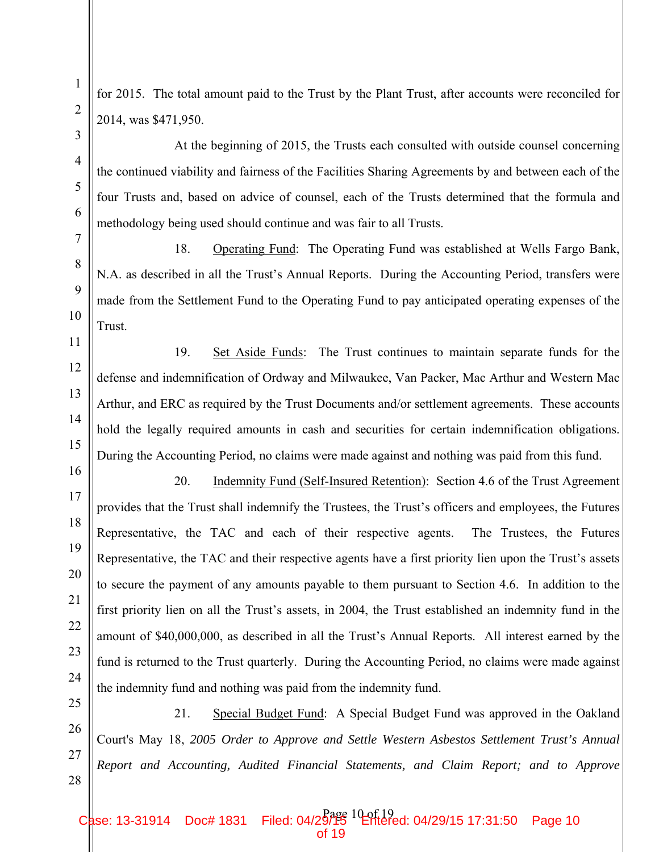for 2015. The total amount paid to the Trust by the Plant Trust, after accounts were reconciled for 2014, was \$471,950.

 At the beginning of 2015, the Trusts each consulted with outside counsel concerning the continued viability and fairness of the Facilities Sharing Agreements by and between each of the four Trusts and, based on advice of counsel, each of the Trusts determined that the formula and methodology being used should continue and was fair to all Trusts.

18. Operating Fund: The Operating Fund was established at Wells Fargo Bank, N.A. as described in all the Trust's Annual Reports. During the Accounting Period, transfers were made from the Settlement Fund to the Operating Fund to pay anticipated operating expenses of the Trust.

19. Set Aside Funds: The Trust continues to maintain separate funds for the defense and indemnification of Ordway and Milwaukee, Van Packer, Mac Arthur and Western Mac Arthur, and ERC as required by the Trust Documents and/or settlement agreements. These accounts hold the legally required amounts in cash and securities for certain indemnification obligations. During the Accounting Period, no claims were made against and nothing was paid from this fund.

20. Indemnity Fund (Self-Insured Retention): Section 4.6 of the Trust Agreement provides that the Trust shall indemnify the Trustees, the Trust's officers and employees, the Futures Representative, the TAC and each of their respective agents. The Trustees, the Futures Representative, the TAC and their respective agents have a first priority lien upon the Trust's assets to secure the payment of any amounts payable to them pursuant to Section 4.6. In addition to the first priority lien on all the Trust's assets, in 2004, the Trust established an indemnity fund in the amount of \$40,000,000, as described in all the Trust's Annual Reports. All interest earned by the fund is returned to the Trust quarterly. During the Accounting Period, no claims were made against the indemnity fund and nothing was paid from the indemnity fund.

21. Special Budget Fund: A Special Budget Fund was approved in the Oakland Court's May 18, *2005 Order to Approve and Settle Western Asbestos Settlement Trust's Annual Report and Accounting, Audited Financial Statements, and Claim Report; and to Approve* 

Case: 13-31914 Doc# 1831 Filed: 04/29/15 04/29/15 17:31:50 Page 10 of 19

1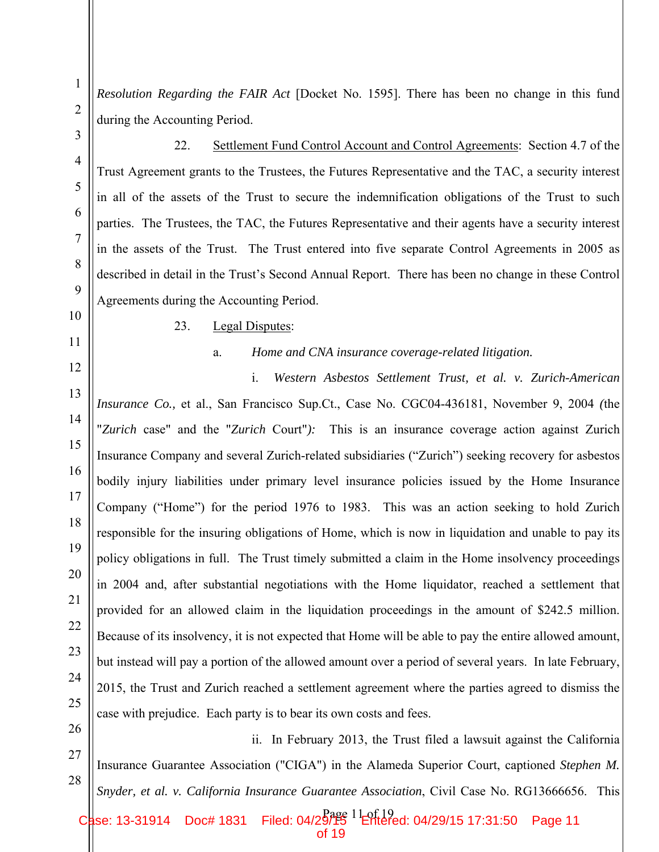*Resolution Regarding the FAIR Act* [Docket No. 1595]. There has been no change in this fund during the Accounting Period.

22. Settlement Fund Control Account and Control Agreements: Section 4.7 of the Trust Agreement grants to the Trustees, the Futures Representative and the TAC, a security interest in all of the assets of the Trust to secure the indemnification obligations of the Trust to such parties. The Trustees, the TAC, the Futures Representative and their agents have a security interest in the assets of the Trust. The Trust entered into five separate Control Agreements in 2005 as described in detail in the Trust's Second Annual Report. There has been no change in these Control Agreements during the Accounting Period.

#### 23. Legal Disputes:

#### a. *Home and CNA insurance coverage-related litigation.*

i. *Western Asbestos Settlement Trust, et al. v. Zurich-American Insurance Co.,* et al., San Francisco Sup.Ct., Case No. CGC04-436181, November 9, 2004 *(*the "*Zurich* case" and the "*Zurich* Court"*):* This is an insurance coverage action against Zurich Insurance Company and several Zurich-related subsidiaries ("Zurich") seeking recovery for asbestos bodily injury liabilities under primary level insurance policies issued by the Home Insurance Company ("Home") for the period 1976 to 1983. This was an action seeking to hold Zurich responsible for the insuring obligations of Home, which is now in liquidation and unable to pay its policy obligations in full. The Trust timely submitted a claim in the Home insolvency proceedings in 2004 and, after substantial negotiations with the Home liquidator, reached a settlement that provided for an allowed claim in the liquidation proceedings in the amount of \$242.5 million. Because of its insolvency, it is not expected that Home will be able to pay the entire allowed amount, but instead will pay a portion of the allowed amount over a period of several years. In late February, 2015, the Trust and Zurich reached a settlement agreement where the parties agreed to dismiss the case with prejudice. Each party is to bear its own costs and fees.

28 ii. In February 2013, the Trust filed a lawsuit against the California Insurance Guarantee Association ("CIGA") in the Alameda Superior Court, captioned *Stephen M. Snyder, et al. v. California Insurance Guarantee Association*, Civil Case No. RG13666656. This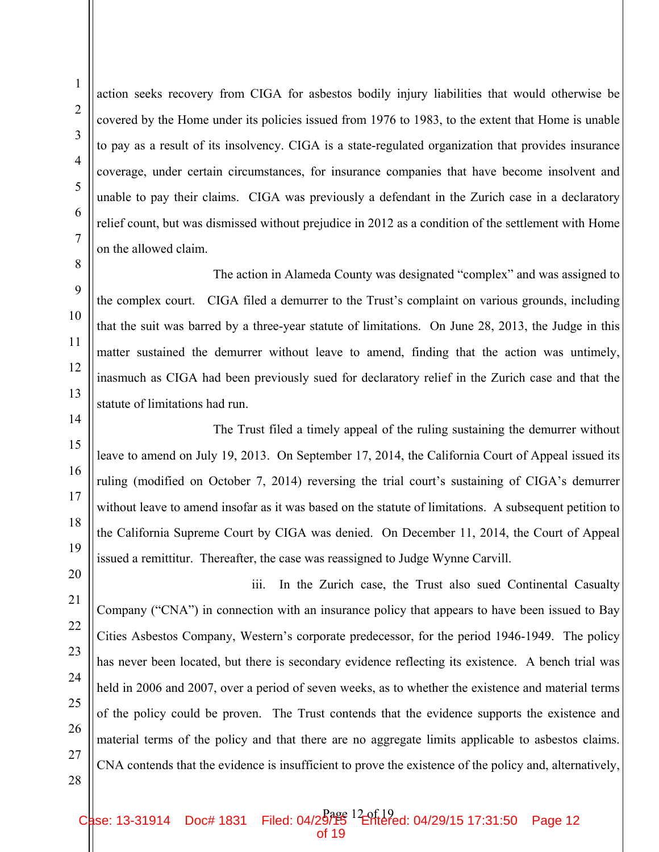action seeks recovery from CIGA for asbestos bodily injury liabilities that would otherwise be covered by the Home under its policies issued from 1976 to 1983, to the extent that Home is unable to pay as a result of its insolvency. CIGA is a state-regulated organization that provides insurance coverage, under certain circumstances, for insurance companies that have become insolvent and unable to pay their claims. CIGA was previously a defendant in the Zurich case in a declaratory relief count, but was dismissed without prejudice in 2012 as a condition of the settlement with Home on the allowed claim.

The action in Alameda County was designated "complex" and was assigned to the complex court. CIGA filed a demurrer to the Trust's complaint on various grounds, including that the suit was barred by a three-year statute of limitations. On June 28, 2013, the Judge in this matter sustained the demurrer without leave to amend, finding that the action was untimely, inasmuch as CIGA had been previously sued for declaratory relief in the Zurich case and that the statute of limitations had run.

The Trust filed a timely appeal of the ruling sustaining the demurrer without leave to amend on July 19, 2013. On September 17, 2014, the California Court of Appeal issued its ruling (modified on October 7, 2014) reversing the trial court's sustaining of CIGA's demurrer without leave to amend insofar as it was based on the statute of limitations. A subsequent petition to the California Supreme Court by CIGA was denied. On December 11, 2014, the Court of Appeal issued a remittitur. Thereafter, the case was reassigned to Judge Wynne Carvill.

 iii. In the Zurich case, the Trust also sued Continental Casualty Company ("CNA") in connection with an insurance policy that appears to have been issued to Bay Cities Asbestos Company, Western's corporate predecessor, for the period 1946-1949. The policy has never been located, but there is secondary evidence reflecting its existence. A bench trial was held in 2006 and 2007, over a period of seven weeks, as to whether the existence and material terms of the policy could be proven. The Trust contends that the evidence supports the existence and material terms of the policy and that there are no aggregate limits applicable to asbestos claims. CNA contends that the evidence is insufficient to prove the existence of the policy and, alternatively,

1

2

3

4

5

6

7

8

9

10

11

12

13

14

15

16

17

18

19

20

21

22

23

24

25

26

Case: 13-31914 Doc# 1831 Filed: 04/29/15 Pale 12 04/29/15 17:31:50 Page 12 of 19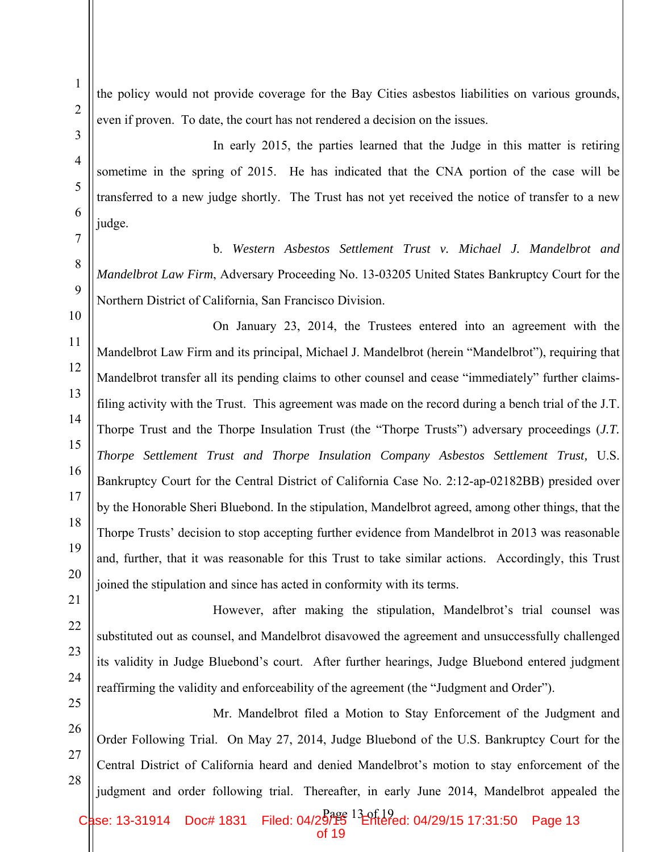1

the policy would not provide coverage for the Bay Cities asbestos liabilities on various grounds, even if proven. To date, the court has not rendered a decision on the issues.

 In early 2015, the parties learned that the Judge in this matter is retiring sometime in the spring of 2015. He has indicated that the CNA portion of the case will be transferred to a new judge shortly. The Trust has not yet received the notice of transfer to a new judge.

b. *Western Asbestos Settlement Trust v. Michael J. Mandelbrot and Mandelbrot Law Firm*, Adversary Proceeding No. 13-03205 United States Bankruptcy Court for the Northern District of California, San Francisco Division.

On January 23, 2014, the Trustees entered into an agreement with the Mandelbrot Law Firm and its principal, Michael J. Mandelbrot (herein "Mandelbrot"), requiring that Mandelbrot transfer all its pending claims to other counsel and cease "immediately" further claimsfiling activity with the Trust. This agreement was made on the record during a bench trial of the J.T. Thorpe Trust and the Thorpe Insulation Trust (the "Thorpe Trusts") adversary proceedings (*J.T. Thorpe Settlement Trust and Thorpe Insulation Company Asbestos Settlement Trust,* U.S. Bankruptcy Court for the Central District of California Case No. 2:12-ap-02182BB) presided over by the Honorable Sheri Bluebond. In the stipulation, Mandelbrot agreed, among other things, that the Thorpe Trusts' decision to stop accepting further evidence from Mandelbrot in 2013 was reasonable and, further, that it was reasonable for this Trust to take similar actions. Accordingly, this Trust joined the stipulation and since has acted in conformity with its terms.

However, after making the stipulation, Mandelbrot's trial counsel was substituted out as counsel, and Mandelbrot disavowed the agreement and unsuccessfully challenged its validity in Judge Bluebond's court. After further hearings, Judge Bluebond entered judgment reaffirming the validity and enforceability of the agreement (the "Judgment and Order").

 Mr. Mandelbrot filed a Motion to Stay Enforcement of the Judgment and Order Following Trial. On May 27, 2014, Judge Bluebond of the U.S. Bankruptcy Court for the Central District of California heard and denied Mandelbrot's motion to stay enforcement of the judgment and order following trial. Thereafter, in early June 2014, Mandelbrot appealed the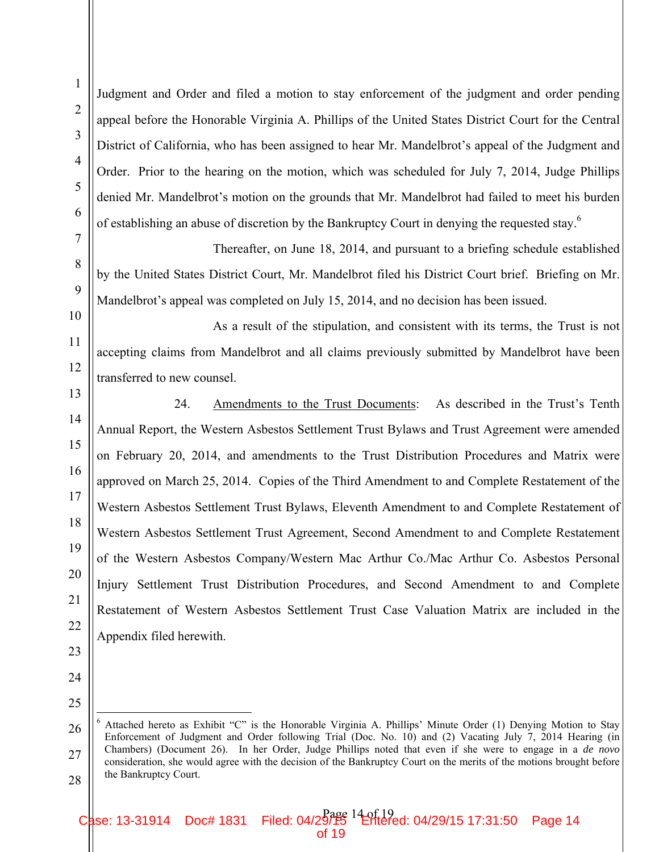Judgment and Order and filed a motion to stay enforcement of the judgment and order pending appeal before the Honorable Virginia A. Phillips of the United States District Court for the Central District of California, who has been assigned to hear Mr. Mandelbrot's appeal of the Judgment and Order. Prior to the hearing on the motion, which was scheduled for July 7, 2014, Judge Phillips denied Mr. Mandelbrot's motion on the grounds that Mr. Mandelbrot had failed to meet his burden of establishing an abuse of discretion by the Bankruptcy Court in denying the requested stay.<sup>6</sup>

 Thereafter, on June 18, 2014, and pursuant to a briefing schedule established by the United States District Court, Mr. Mandelbrot filed his District Court brief. Briefing on Mr. Mandelbrot's appeal was completed on July 15, 2014, and no decision has been issued.

 As a result of the stipulation, and consistent with its terms, the Trust is not accepting claims from Mandelbrot and all claims previously submitted by Mandelbrot have been transferred to new counsel.

24. Amendments to the Trust Documents: As described in the Trust's Tenth Annual Report, the Western Asbestos Settlement Trust Bylaws and Trust Agreement were amended on February 20, 2014, and amendments to the Trust Distribution Procedures and Matrix were approved on March 25, 2014. Copies of the Third Amendment to and Complete Restatement of the Western Asbestos Settlement Trust Bylaws, Eleventh Amendment to and Complete Restatement of Western Asbestos Settlement Trust Agreement, Second Amendment to and Complete Restatement of the Western Asbestos Company/Western Mac Arthur Co./Mac Arthur Co. Asbestos Personal Injury Settlement Trust Distribution Procedures, and Second Amendment to and Complete Restatement of Western Asbestos Settlement Trust Case Valuation Matrix are included in the Appendix filed herewith.

<sup>27</sup> 28 6 Attached hereto as Exhibit "C" is the Honorable Virginia A. Phillips' Minute Order (1) Denying Motion to Stay Enforcement of Judgment and Order following Trial (Doc. No. 10) and (2) Vacating July 7, 2014 Hearing (in Chambers) (Document 26). In her Order, Judge Phillips noted that even if she were to engage in a *de novo* consideration, she would agree with the decision of the Bankruptcy Court on the merits of the motions brought before the Bankruptcy Court.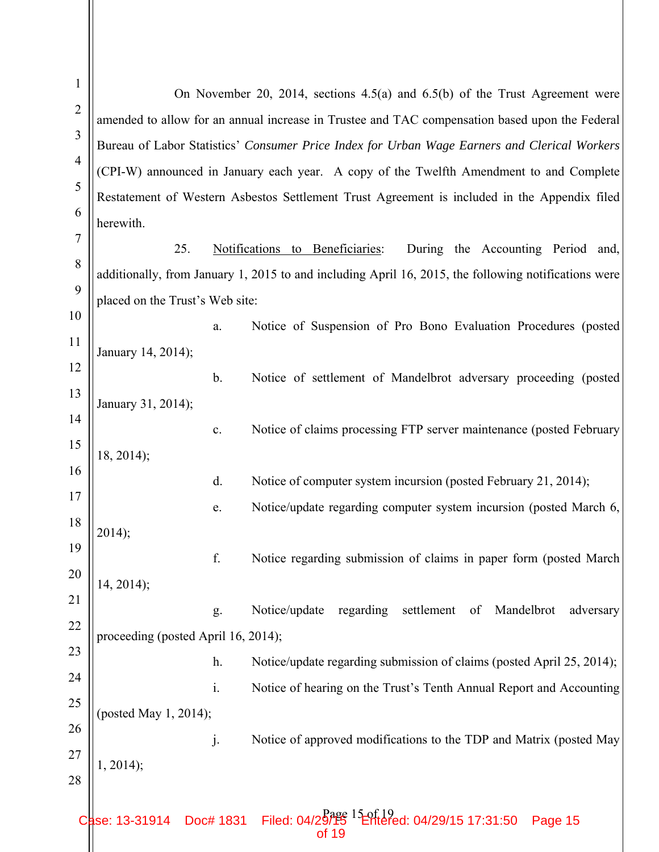| $\mathbf{1}$   |                                                                                                |                | On November 20, 2014, sections $4.5(a)$ and $6.5(b)$ of the Trust Agreement were                     |  |  |  |  |
|----------------|------------------------------------------------------------------------------------------------|----------------|------------------------------------------------------------------------------------------------------|--|--|--|--|
| $\overline{2}$ | amended to allow for an annual increase in Trustee and TAC compensation based upon the Federal |                |                                                                                                      |  |  |  |  |
| 3              | Bureau of Labor Statistics' Consumer Price Index for Urban Wage Earners and Clerical Workers   |                |                                                                                                      |  |  |  |  |
| $\overline{4}$ |                                                                                                |                | (CPI-W) announced in January each year. A copy of the Twelfth Amendment to and Complete              |  |  |  |  |
| 5              |                                                                                                |                | Restatement of Western Asbestos Settlement Trust Agreement is included in the Appendix filed         |  |  |  |  |
| 6              | herewith.                                                                                      |                |                                                                                                      |  |  |  |  |
| $\overline{7}$ | 25.                                                                                            |                | to Beneficiaries:<br>Notifications<br>During the Accounting Period and,                              |  |  |  |  |
| 8              |                                                                                                |                | additionally, from January 1, 2015 to and including April 16, 2015, the following notifications were |  |  |  |  |
| 9              | placed on the Trust's Web site:                                                                |                |                                                                                                      |  |  |  |  |
| 10             |                                                                                                | a.             | Notice of Suspension of Pro Bono Evaluation Procedures (posted                                       |  |  |  |  |
| 11             | January 14, 2014);                                                                             |                |                                                                                                      |  |  |  |  |
| 12             |                                                                                                | b.             | Notice of settlement of Mandelbrot adversary proceeding (posted                                      |  |  |  |  |
| 13             | January 31, 2014);                                                                             |                |                                                                                                      |  |  |  |  |
| 14             |                                                                                                | c.             | Notice of claims processing FTP server maintenance (posted February                                  |  |  |  |  |
| 15             | $18, 2014$ ;                                                                                   |                |                                                                                                      |  |  |  |  |
| 16             |                                                                                                | d.             | Notice of computer system incursion (posted February 21, 2014);                                      |  |  |  |  |
| 17             |                                                                                                | e.             | Notice/update regarding computer system incursion (posted March 6,                                   |  |  |  |  |
| 18             | 2014);                                                                                         |                |                                                                                                      |  |  |  |  |
| 19             |                                                                                                | f.             | Notice regarding submission of claims in paper form (posted March)                                   |  |  |  |  |
| 20             | $14, 2014$ ;                                                                                   |                |                                                                                                      |  |  |  |  |
| 21             |                                                                                                | g.             | Notice/update<br>regarding<br>settlement<br>of Mandelbrot<br>adversary                               |  |  |  |  |
| 22             | proceeding (posted April 16, 2014);                                                            |                |                                                                                                      |  |  |  |  |
| 23             |                                                                                                | h.             | Notice/update regarding submission of claims (posted April 25, 2014);                                |  |  |  |  |
| 24             |                                                                                                | $\mathbf{i}$ . | Notice of hearing on the Trust's Tenth Annual Report and Accounting                                  |  |  |  |  |
| 25             | (posted May 1, 2014);                                                                          |                |                                                                                                      |  |  |  |  |
| 26             |                                                                                                | j.             | Notice of approved modifications to the TDP and Matrix (posted May                                   |  |  |  |  |
| 27             | 1, 2014);                                                                                      |                |                                                                                                      |  |  |  |  |
| 28             |                                                                                                |                |                                                                                                      |  |  |  |  |
|                | se: 13-31914                                                                                   |                | Doc# 1831 Filed: $04/2\frac{B_0}{2}$<br>of 19<br>of 19<br>Page 15                                    |  |  |  |  |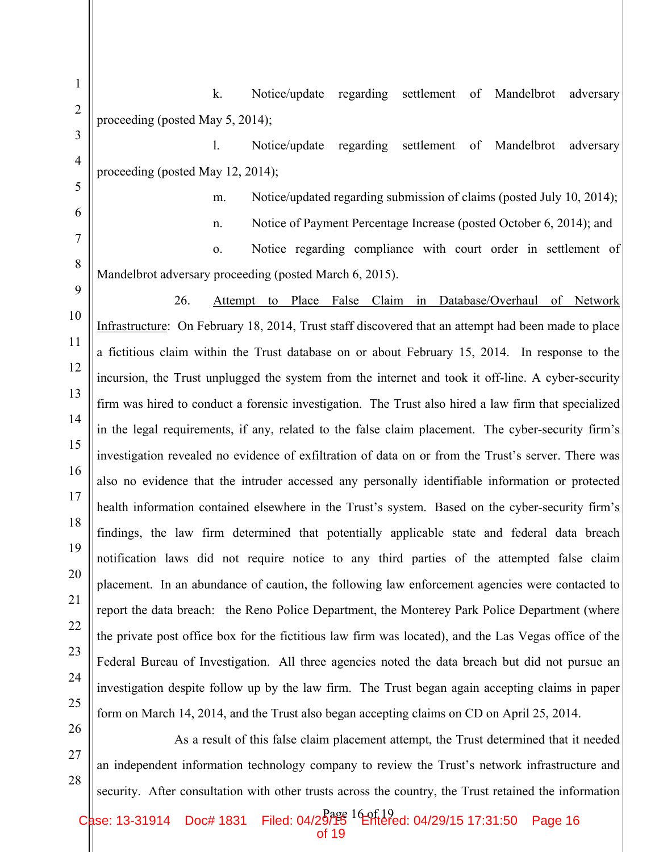k. Notice/update regarding settlement of Mandelbrot adversary proceeding (posted May 5, 2014);

1

2

3

4

5

6

7

8

9

10

11

12

13

14

15

16

17

18

19

20

21

22

23

24

25

26

27

28

l. Notice/update regarding settlement of Mandelbrot adversary proceeding (posted May 12, 2014);

m. Notice/updated regarding submission of claims (posted July 10, 2014);

n. Notice of Payment Percentage Increase (posted October 6, 2014); and

o. Notice regarding compliance with court order in settlement of Mandelbrot adversary proceeding (posted March 6, 2015).

26. Attempt to Place False Claim in Database/Overhaul of Network Infrastructure: On February 18, 2014, Trust staff discovered that an attempt had been made to place a fictitious claim within the Trust database on or about February 15, 2014. In response to the incursion, the Trust unplugged the system from the internet and took it off-line. A cyber-security firm was hired to conduct a forensic investigation. The Trust also hired a law firm that specialized in the legal requirements, if any, related to the false claim placement. The cyber-security firm's investigation revealed no evidence of exfiltration of data on or from the Trust's server. There was also no evidence that the intruder accessed any personally identifiable information or protected health information contained elsewhere in the Trust's system. Based on the cyber-security firm's findings, the law firm determined that potentially applicable state and federal data breach notification laws did not require notice to any third parties of the attempted false claim placement. In an abundance of caution, the following law enforcement agencies were contacted to report the data breach: the Reno Police Department, the Monterey Park Police Department (where the private post office box for the fictitious law firm was located), and the Las Vegas office of the Federal Bureau of Investigation. All three agencies noted the data breach but did not pursue an investigation despite follow up by the law firm. The Trust began again accepting claims in paper form on March 14, 2014, and the Trust also began accepting claims on CD on April 25, 2014.

As a result of this false claim placement attempt, the Trust determined that it needed an independent information technology company to review the Trust's network infrastructure and security. After consultation with other trusts across the country, the Trust retained the information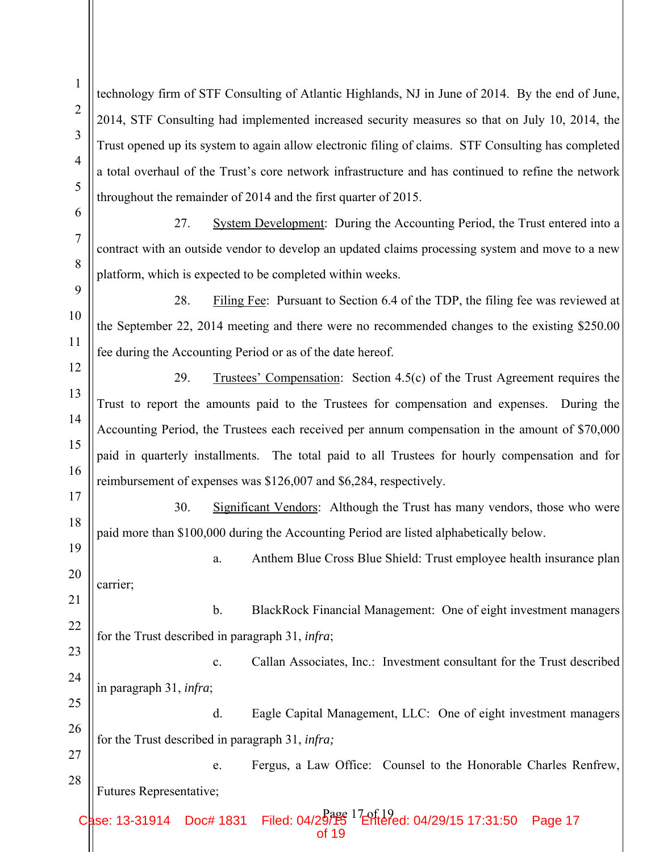2 3 4 5 12 13 14 15 16 17 18 19 21 23 25 26 27 28 Case: 13-31914 Doc# 1831 Filed: 04/29/15 04/29/15 17:31:50 Page 17 throughout the remainder of 2014 and the first quarter of 2015. platform, which is expected to be completed within weeks. fee during the Accounting Period or as of the date hereof. 29. Trustees' Compensation: Section 4.5(c) of the Trust Agreement requires the reimbursement of expenses was \$126,007 and \$6,284, respectively. paid more than \$100,000 during the Accounting Period are listed alphabetically below. carrier; for the Trust described in paragraph 31, *infra*; in paragraph 31, *infra*; d. Eagle Capital Management, LLC: One of eight investment managers for the Trust described in paragraph 31, *infra;* e. Fergus, a Law Office: Counsel to the Honorable Charles Renfrew, Futures Representative; of 19

technology firm of STF Consulting of Atlantic Highlands, NJ in June of 2014. By the end of June, 2014, STF Consulting had implemented increased security measures so that on July 10, 2014, the Trust opened up its system to again allow electronic filing of claims. STF Consulting has completed a total overhaul of the Trust's core network infrastructure and has continued to refine the network

27. System Development: During the Accounting Period, the Trust entered into a contract with an outside vendor to develop an updated claims processing system and move to a new

28. Filing Fee: Pursuant to Section 6.4 of the TDP, the filing fee was reviewed at the September 22, 2014 meeting and there were no recommended changes to the existing \$250.00

Trust to report the amounts paid to the Trustees for compensation and expenses. During the Accounting Period, the Trustees each received per annum compensation in the amount of \$70,000 paid in quarterly installments. The total paid to all Trustees for hourly compensation and for

30. Significant Vendors: Although the Trust has many vendors, those who were

20 a. Anthem Blue Cross Blue Shield: Trust employee health insurance plan

22 b. BlackRock Financial Management: One of eight investment managers

24 c. Callan Associates, Inc.: Investment consultant for the Trust described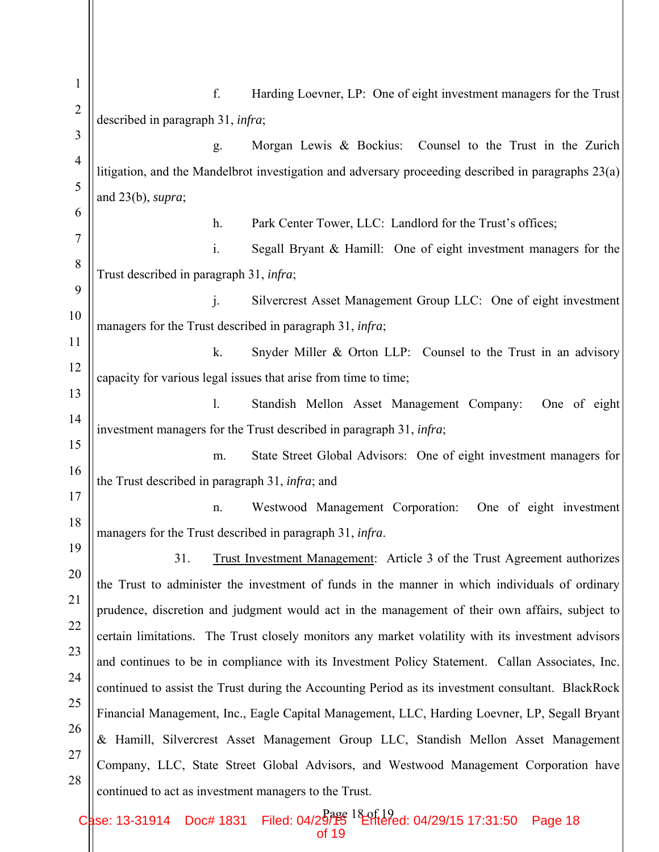1 2 3 4 5 6 7 8 9 10 11 12 13 14 15 16 17 18 19 20 21 22 23 24 25 26 27 28 f. Harding Loevner, LP: One of eight investment managers for the Trust described in paragraph 31, *infra*; g. Morgan Lewis & Bockius: Counsel to the Trust in the Zurich litigation, and the Mandelbrot investigation and adversary proceeding described in paragraphs 23(a) and 23(b), *supra*; h. Park Center Tower, LLC: Landlord for the Trust's offices; i. Segall Bryant & Hamill: One of eight investment managers for the Trust described in paragraph 31, *infra*; j. Silvercrest Asset Management Group LLC: One of eight investment managers for the Trust described in paragraph 31, *infra*; k. Snyder Miller & Orton LLP: Counsel to the Trust in an advisory capacity for various legal issues that arise from time to time; l. Standish Mellon Asset Management Company: One of eight investment managers for the Trust described in paragraph 31, *infra*; m. State Street Global Advisors: One of eight investment managers for the Trust described in paragraph 31, *infra*; and n. Westwood Management Corporation: One of eight investment managers for the Trust described in paragraph 31, *infra*. 31. Trust Investment Management: Article 3 of the Trust Agreement authorizes the Trust to administer the investment of funds in the manner in which individuals of ordinary prudence, discretion and judgment would act in the management of their own affairs, subject to certain limitations. The Trust closely monitors any market volatility with its investment advisors and continues to be in compliance with its Investment Policy Statement. Callan Associates, Inc. continued to assist the Trust during the Accounting Period as its investment consultant. BlackRock Financial Management, Inc., Eagle Capital Management, LLC, Harding Loevner, LP, Segall Bryant & Hamill, Silvercrest Asset Management Group LLC, Standish Mellon Asset Management Company, LLC, State Street Global Advisors, and Westwood Management Corporation have continued to act as investment managers to the Trust.

Case: 13-31914 Doc# 1831 Filed: 04/29/15 04/29/15 17:31:50 Page 18 of 19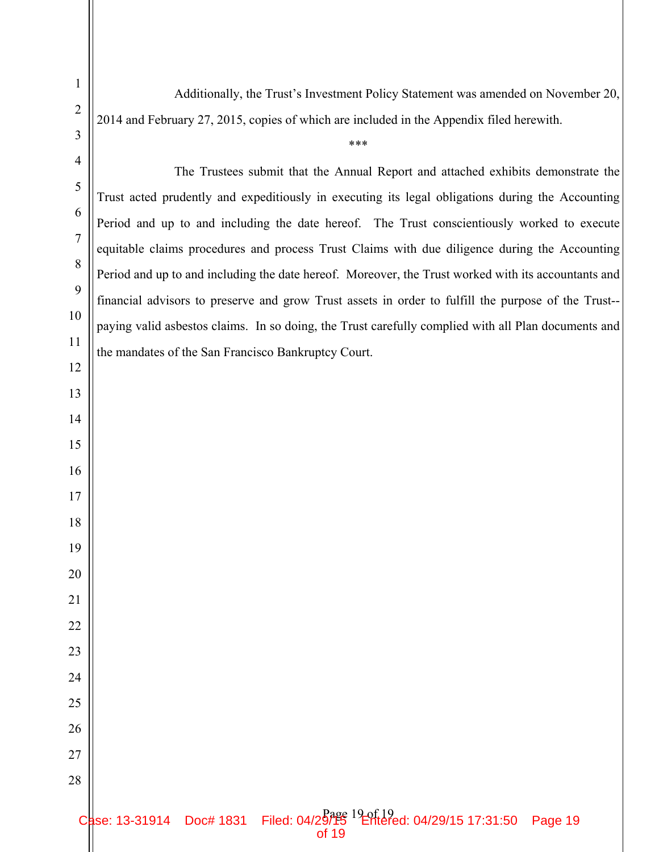Additionally, the Trust's Investment Policy Statement was amended on November 20, 2014 and February 27, 2015, copies of which are included in the Appendix filed herewith.

\*\*\*

The Trustees submit that the Annual Report and attached exhibits demonstrate the Trust acted prudently and expeditiously in executing its legal obligations during the Accounting Period and up to and including the date hereof. The Trust conscientiously worked to execute equitable claims procedures and process Trust Claims with due diligence during the Accounting Period and up to and including the date hereof. Moreover, the Trust worked with its accountants and financial advisors to preserve and grow Trust assets in order to fulfill the purpose of the Trust- paying valid asbestos claims. In so doing, the Trust carefully complied with all Plan documents and the mandates of the San Francisco Bankruptcy Court.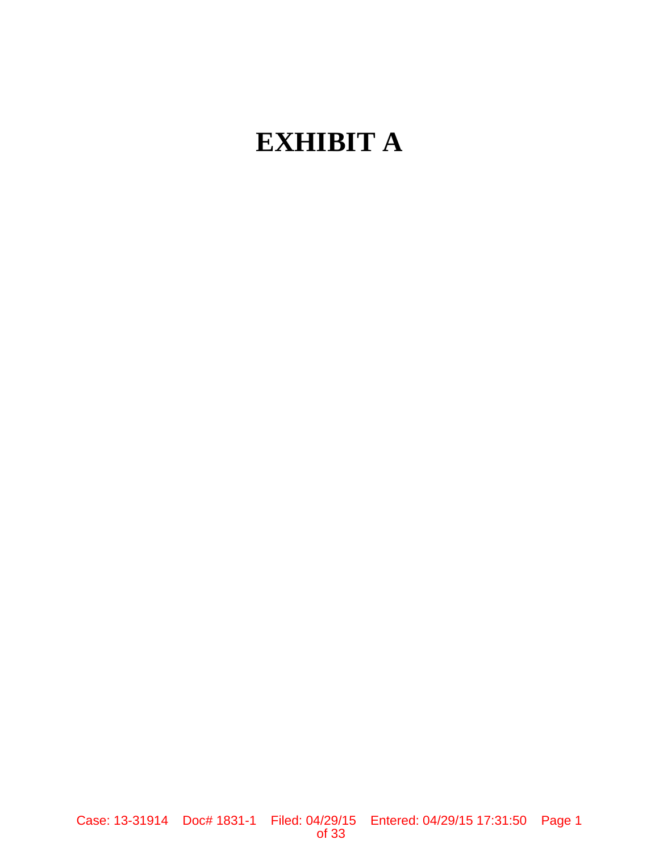# **EXHIBIT A**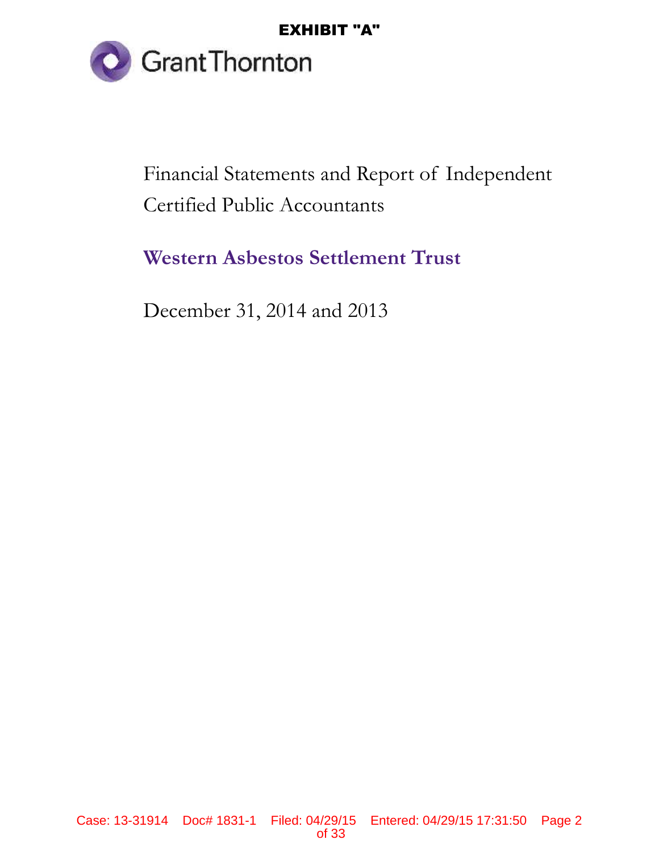

**Grant Thornton**<br>Financial Statements and Report of Independent Certified Public Accountants

**Western Asbestos Settlement Trust**

December 31, 2014 and 2013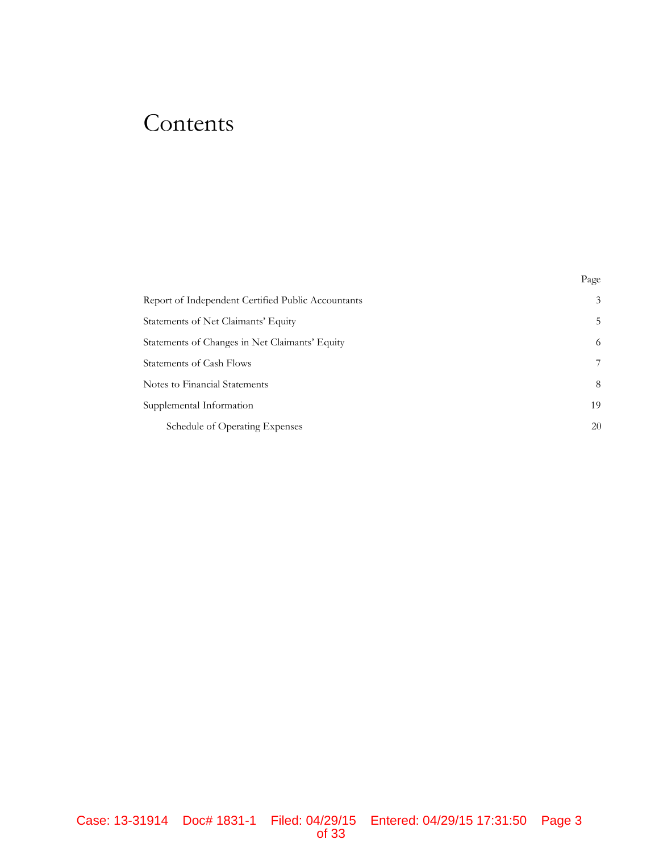# Contents

|                                                    | Page |
|----------------------------------------------------|------|
| Report of Independent Certified Public Accountants | 3    |
| Statements of Net Claimants' Equity                | 5    |
| Statements of Changes in Net Claimants' Equity     | 6    |
| Statements of Cash Flows                           |      |
| Notes to Financial Statements                      | 8    |
| Supplemental Information                           | 19   |
| Schedule of Operating Expenses                     | 20   |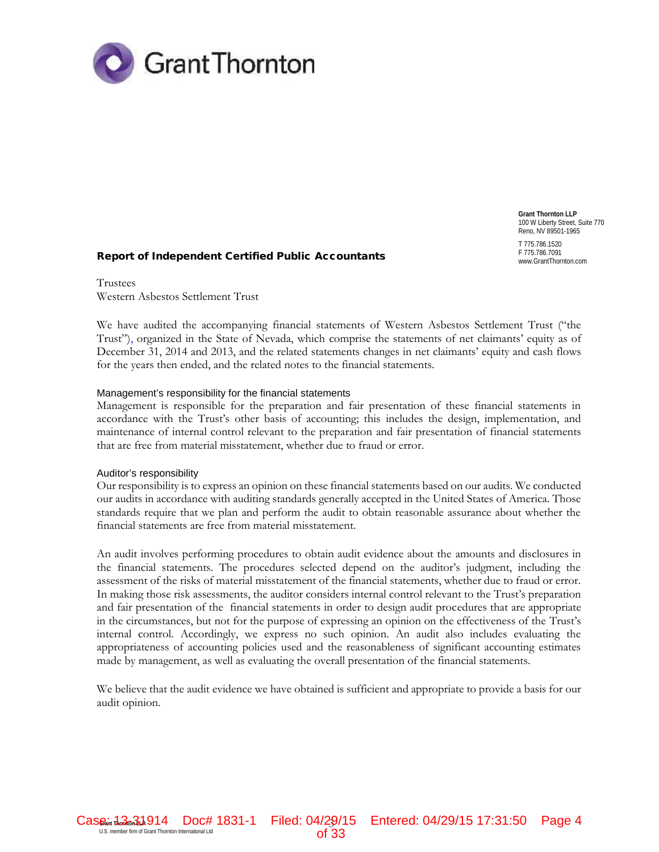

**Grant Thornton LLP** 100 W Liberty Street, Suite 770 Reno, NV 89501-1965 T 775.786.1520 F 775.786.7091<br>www.GrantThornton.com

Report of Independent Certified Public Accountants

Trustees Western Asbestos Settlement Trust

We have audited the accompanying financial statements of Western Asbestos Settlement Trust ("the Trust"), organized in the State of Nevada, which comprise the statements of net claimants' equity as of December 31, 2014 and 2013, and the related statements changes in net claimants' equity and cash flows for the years then ended, and the related notes to the financial statements.

#### Management's responsibility for the financial statements

Management is responsible for the preparation and fair presentation of these financial statements in accordance with the Trust's other basis of accounting; this includes the design, implementation, and maintenance of internal control relevant to the preparation and fair presentation of financial statements that are free from material misstatement, whether due to fraud or error.

#### Auditor's responsibility

Our responsibility is to express an opinion on these financial statements based on our audits. We conducted our audits in accordance with auditing standards generally accepted in the United States of America. Those standards require that we plan and perform the audit to obtain reasonable assurance about whether the financial statements are free from material misstatement.

An audit involves performing procedures to obtain audit evidence about the amounts and disclosures in the financial statements. The procedures selected depend on the auditor's judgment, including the assessment of the risks of material misstatement of the financial statements, whether due to fraud or error. In making those risk assessments, the auditor considers internal control relevant to the Trust's preparation and fair presentation of the financial statements in order to design audit procedures that are appropriate in the circumstances, but not for the purpose of expressing an opinion on the effectiveness of the Trust's internal control. Accordingly, we express no such opinion. An audit also includes evaluating the appropriateness of accounting policies used and the reasonableness of significant accounting estimates made by management, as well as evaluating the overall presentation of the financial statements.

We believe that the audit evidence we have obtained is sufficient and appropriate to provide a basis for our audit opinion.

Case: 1. 3 **Grant Thornton International Ltd** 3 and **Doc** # 1831-1 Filed: 04/29/15 Entered: 04/29/15 17:31:50 Page 4<br>Of 33

of 33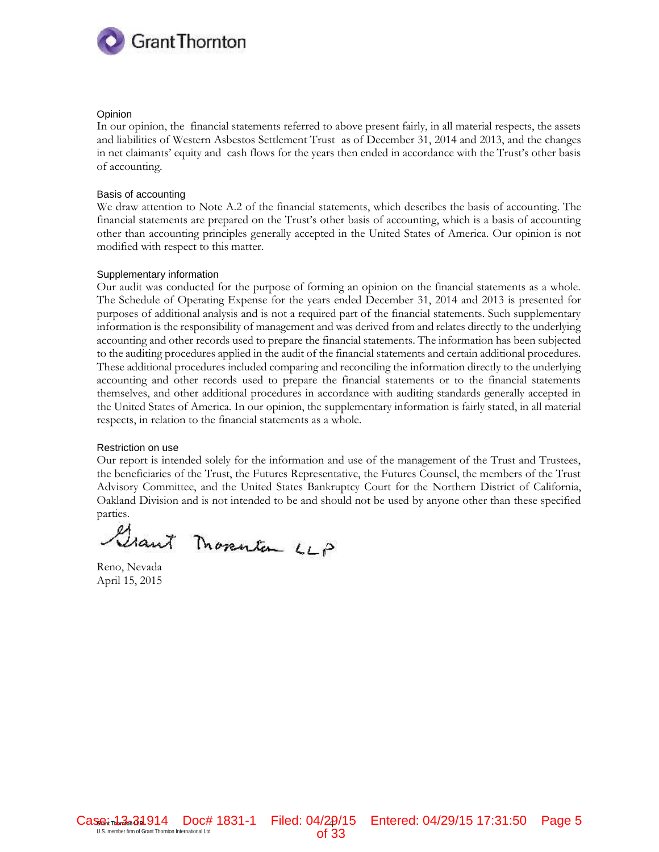

#### **Opinion**

In our opinion, the financial statements referred to above present fairly, in all material respects, the assets and liabilities of Western Asbestos Settlement Trust as of December 31, 2014 and 2013, and the changes in net claimants' equity and cash flows for the years then ended in accordance with the Trust's other basis of accounting.

#### Basis of accounting

We draw attention to Note A.2 of the financial statements, which describes the basis of accounting. The financial statements are prepared on the Trust's other basis of accounting, which is a basis of accounting other than accounting principles generally accepted in the United States of America. Our opinion is not modified with respect to this matter.

#### Supplementary information

Our audit was conducted for the purpose of forming an opinion on the financial statements as a whole. The Schedule of Operating Expense for the years ended December 31, 2014 and 2013 is presented for purposes of additional analysis and is not a required part of the financial statements. Such supplementary information is the responsibility of management and was derived from and relates directly to the underlying accounting and other records used to prepare the financial statements. The information has been subjected to the auditing procedures applied in the audit of the financial statements and certain additional procedures. These additional procedures included comparing and reconciling the information directly to the underlying accounting and other records used to prepare the financial statements or to the financial statements themselves, and other additional procedures in accordance with auditing standards generally accepted in the United States of America. In our opinion, the supplementary information is fairly stated, in all material respects, in relation to the financial statements as a whole.

#### Restriction on use

Our report is intended solely for the information and use of the management of the Trust and Trustees, the beneficiaries of the Trust, the Futures Representative, the Futures Counsel, the members of the Trust Advisory Committee, and the United States Bankruptcy Court for the Northern District of California, Oakland Division and is not intended to be and should not be used by anyone other than these specified parties.

Grant Movementan LLP

Reno, Nevada April 15, 2015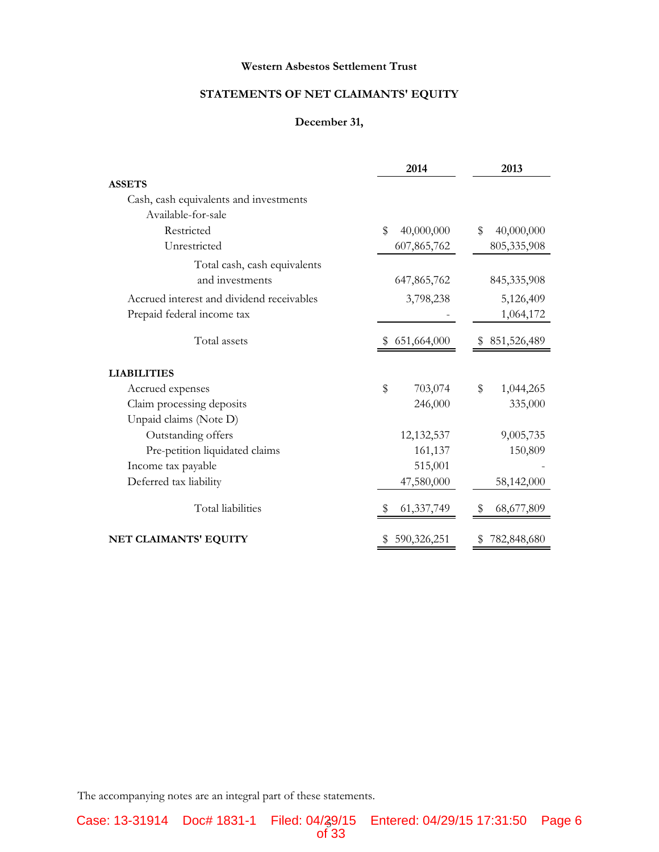## **STATEMENTS OF NET CLAIMANTS' EQUITY**

#### **December 31,**

|                                           | 2014             | 2013             |
|-------------------------------------------|------------------|------------------|
| <b>ASSETS</b>                             |                  |                  |
| Cash, cash equivalents and investments    |                  |                  |
| Available-for-sale                        |                  |                  |
| Restricted                                | \$<br>40,000,000 | \$<br>40,000,000 |
| Unrestricted                              | 607,865,762      | 805,335,908      |
| Total cash, cash equivalents              |                  |                  |
| and investments                           | 647,865,762      | 845, 335, 908    |
| Accrued interest and dividend receivables | 3,798,238        | 5,126,409        |
| Prepaid federal income tax                |                  | 1,064,172        |
| Total assets                              | 651,664,000      | 851,526,489<br>S |
| <b>LIABILITIES</b>                        |                  |                  |
| Accrued expenses                          | \$<br>703,074    | \$<br>1,044,265  |
| Claim processing deposits                 | 246,000          | 335,000          |
| Unpaid claims (Note D)                    |                  |                  |
| Outstanding offers                        | 12,132,537       | 9,005,735        |
| Pre-petition liquidated claims            | 161,137          | 150,809          |
| Income tax payable                        | 515,001          |                  |
| Deferred tax liability                    | 47,580,000       | 58,142,000       |
| Total liabilities                         | 61, 337, 749     | 68,677,809<br>S  |
| NET CLAIMANTS' EQUITY                     | 590,326,251      | 782,848,680      |

The accompanying notes are an integral part of these statements.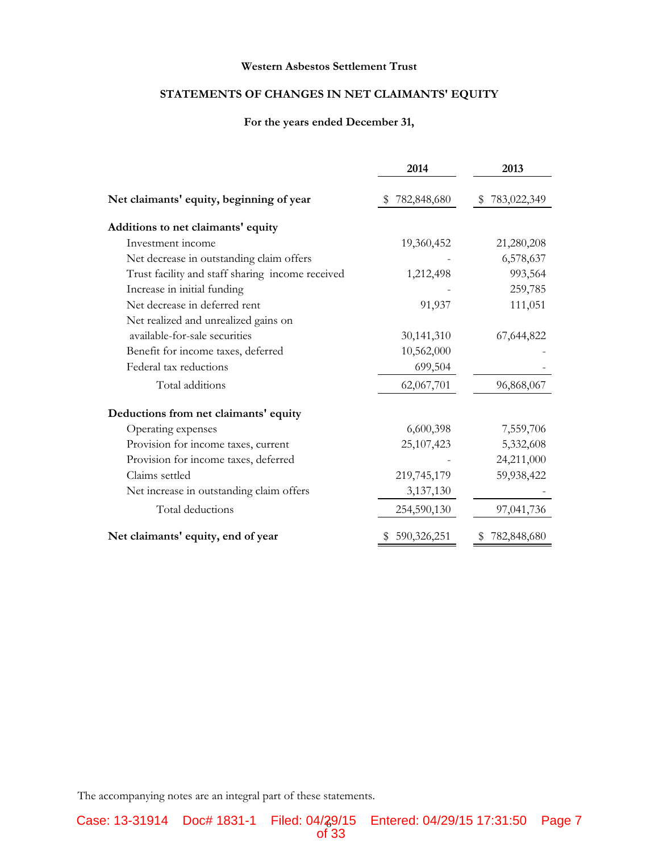### **STATEMENTS OF CHANGES IN NET CLAIMANTS' EQUITY**

#### **For the years ended December 31,**

|                                                  | 2014         | 2013          |
|--------------------------------------------------|--------------|---------------|
| Net claimants' equity, beginning of year         | 782,848,680  | \$783,022,349 |
| Additions to net claimants' equity               |              |               |
| Investment income                                | 19,360,452   | 21,280,208    |
| Net decrease in outstanding claim offers         |              | 6,578,637     |
| Trust facility and staff sharing income received | 1,212,498    | 993,564       |
| Increase in initial funding                      |              | 259,785       |
| Net decrease in deferred rent                    | 91,937       | 111,051       |
| Net realized and unrealized gains on             |              |               |
| available-for-sale securities                    | 30,141,310   | 67,644,822    |
| Benefit for income taxes, deferred               | 10,562,000   |               |
| Federal tax reductions                           | 699,504      |               |
| Total additions                                  | 62,067,701   | 96,868,067    |
| Deductions from net claimants' equity            |              |               |
| Operating expenses                               | 6,600,398    | 7,559,706     |
| Provision for income taxes, current              | 25, 107, 423 | 5,332,608     |
| Provision for income taxes, deferred             |              | 24,211,000    |
| Claims settled                                   | 219,745,179  | 59,938,422    |
| Net increase in outstanding claim offers         | 3,137,130    |               |
| Total deductions                                 | 254,590,130  | 97,041,736    |
| Net claimants' equity, end of year               | 590,326,251  | 782,848,680   |

The accompanying notes are an integral part of these statements.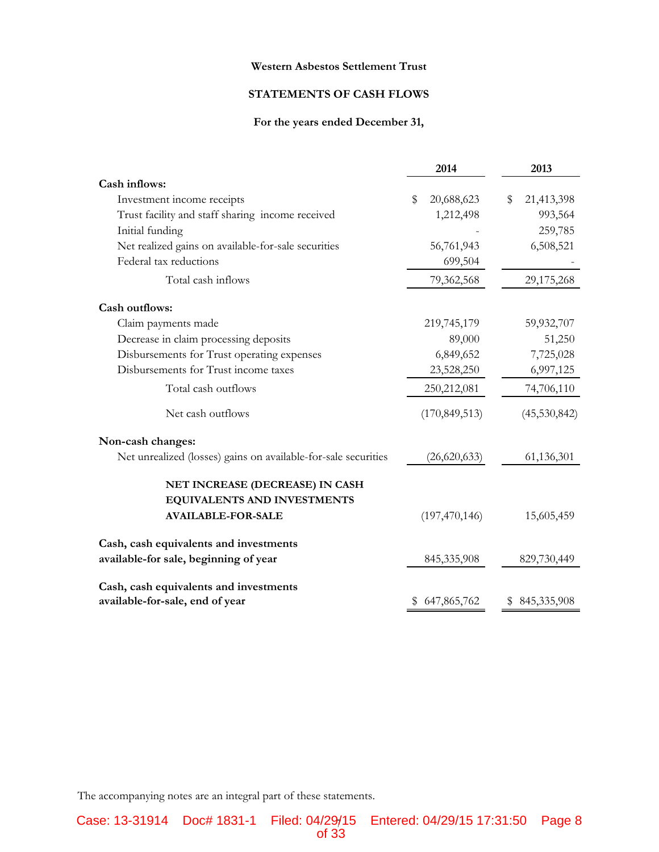#### **STATEMENTS OF CASH FLOWS**

#### **For the years ended December 31,**

|                                                                | 2014             | 2013              |
|----------------------------------------------------------------|------------------|-------------------|
| Cash inflows:                                                  |                  |                   |
| Investment income receipts                                     | 20,688,623<br>\$ | 21,413,398<br>\$  |
| Trust facility and staff sharing income received               | 1,212,498        | 993,564           |
| Initial funding                                                |                  | 259,785           |
| Net realized gains on available-for-sale securities            | 56,761,943       | 6,508,521         |
| Federal tax reductions                                         | 699,504          |                   |
| Total cash inflows                                             | 79,362,568       | 29,175,268        |
| <b>Cash outflows:</b>                                          |                  |                   |
| Claim payments made                                            | 219,745,179      | 59,932,707        |
| Decrease in claim processing deposits                          | 89,000           | 51,250            |
| Disbursements for Trust operating expenses                     | 6,849,652        | 7,725,028         |
| Disbursements for Trust income taxes                           | 23,528,250       | 6,997,125         |
| Total cash outflows                                            | 250,212,081      | 74,706,110        |
| Net cash outflows                                              | (170, 849, 513)  | (45,530,842)      |
| Non-cash changes:                                              |                  |                   |
| Net unrealized (losses) gains on available-for-sale securities | (26,620,633)     | 61,136,301        |
| NET INCREASE (DECREASE) IN CASH                                |                  |                   |
| EQUIVALENTS AND INVESTMENTS                                    |                  |                   |
| <b>AVAILABLE-FOR-SALE</b>                                      | (197, 470, 146)  | 15,605,459        |
| Cash, cash equivalents and investments                         |                  |                   |
| available-for sale, beginning of year                          | 845,335,908      | 829,730,449       |
| Cash, cash equivalents and investments                         |                  |                   |
| available-for-sale, end of year                                | 647,865,762<br>P | 845,335,908<br>\$ |

The accompanying notes are an integral part of these statements.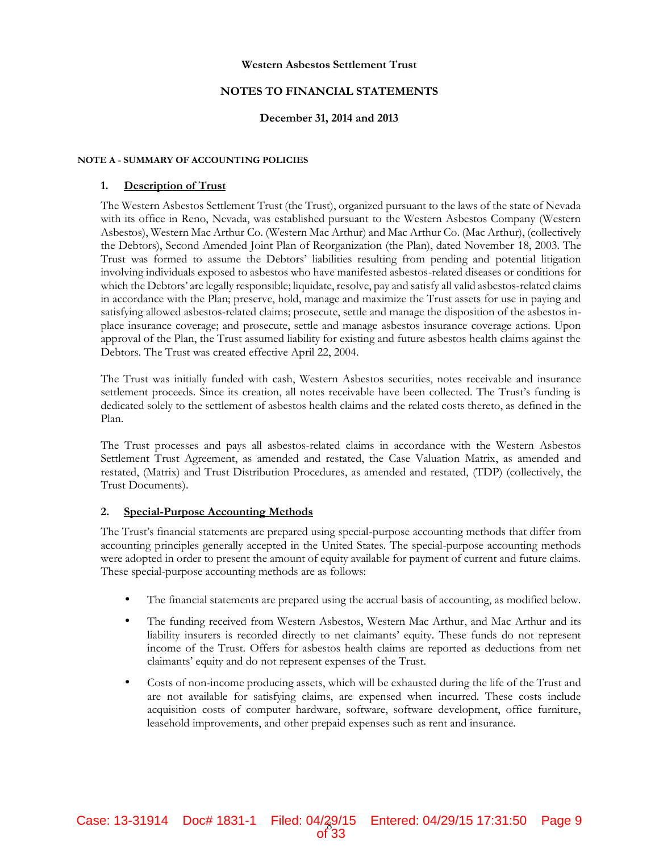#### **NOTES TO FINANCIAL STATEMENTS**

#### **December 31, 2014 and 2013**

#### **NOTE A - SUMMARY OF ACCOUNTING POLICIES**

#### **1. Description of Trust**

The Western Asbestos Settlement Trust (the Trust), organized pursuant to the laws of the state of Nevada with its office in Reno, Nevada, was established pursuant to the Western Asbestos Company (Western Asbestos), Western Mac Arthur Co. (Western Mac Arthur) and Mac Arthur Co. (Mac Arthur), (collectively the Debtors), Second Amended Joint Plan of Reorganization (the Plan), dated November 18, 2003. The Trust was formed to assume the Debtors' liabilities resulting from pending and potential litigation involving individuals exposed to asbestos who have manifested asbestos-related diseases or conditions for which the Debtors' are legally responsible; liquidate, resolve, pay and satisfy all valid asbestos-related claims in accordance with the Plan; preserve, hold, manage and maximize the Trust assets for use in paying and satisfying allowed asbestos-related claims; prosecute, settle and manage the disposition of the asbestos in place insurance coverage; and prosecute, settle and manage asbestos insurance coverage actions. Upon approval of the Plan, the Trust assumed liability for existing and future asbestos health claims against the Debtors. The Trust was created effective April 22, 2004.

The Trust was initially funded with cash, Western Asbestos securities, notes receivable and insurance settlement proceeds. Since its creation, all notes receivable have been collected. The Trust's funding is dedicated solely to the settlement of asbestos health claims and the related costs thereto, as defined in the Plan.

The Trust processes and pays all asbestos-related claims in accordance with the Western Asbestos Settlement Trust Agreement, as amended and restated, the Case Valuation Matrix, as amended and restated, (Matrix) and Trust Distribution Procedures, as amended and restated, (TDP) (collectively, the Trust Documents).

#### **2. Special-Purpose Accounting Methods**

The Trust's financial statements are prepared using special-purpose accounting methods that differ from accounting principles generally accepted in the United States. The special-purpose accounting methods were adopted in order to present the amount of equity available for payment of current and future claims. These special-purpose accounting methods are as follows:

- The financial statements are prepared using the accrual basis of accounting, as modified below.
- The funding received from Western Asbestos, Western Mac Arthur, and Mac Arthur and its liability insurers is recorded directly to net claimants' equity. These funds do not represent income of the Trust. Offers for asbestos health claims are reported as deductions from net claimants' equity and do not represent expenses of the Trust.
- Costs of non-income producing assets, which will be exhausted during the life of the Trust and are not available for satisfying claims, are expensed when incurred. These costs include acquisition costs of computer hardware, software, software development, office furniture, leasehold improvements, and other prepaid expenses such as rent and insurance.

of 33

Filed: 04/29/15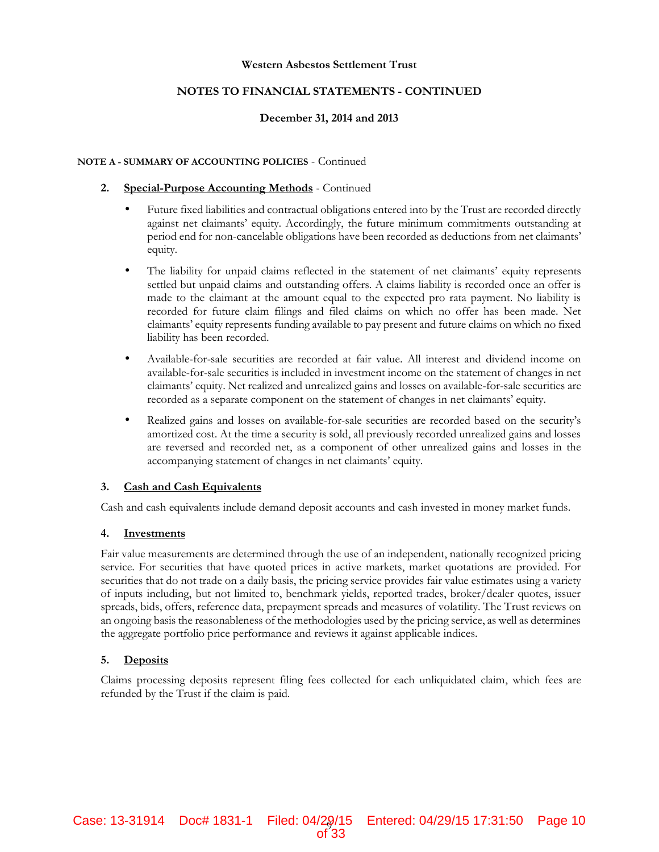#### **NOTES TO FINANCIAL STATEMENTS - CONTINUED**

#### **December 31, 2014 and 2013**

#### **NOTE A - SUMMARY OF ACCOUNTING POLICIES** - Continued

#### **2. Special-Purpose Accounting Methods** - Continued

- Future fixed liabilities and contractual obligations entered into by the Trust are recorded directly against net claimants' equity. Accordingly, the future minimum commitments outstanding at period end for non-cancelable obligations have been recorded as deductions from net claimants' equity.
- The liability for unpaid claims reflected in the statement of net claimants' equity represents settled but unpaid claims and outstanding offers. A claims liability is recorded once an offer is made to the claimant at the amount equal to the expected pro rata payment. No liability is recorded for future claim filings and filed claims on which no offer has been made. Net claimants' equity represents funding available to pay present and future claims on which no fixed liability has been recorded.
- Available-for-sale securities are recorded at fair value. All interest and dividend income on available-for-sale securities is included in investment income on the statement of changes in net claimants' equity. Net realized and unrealized gains and losses on available-for-sale securities are recorded as a separate component on the statement of changes in net claimants' equity.
- Realized gains and losses on available-for-sale securities are recorded based on the security's amortized cost. At the time a security is sold, all previously recorded unrealized gains and losses are reversed and recorded net, as a component of other unrealized gains and losses in the accompanying statement of changes in net claimants' equity.

#### **3. Cash and Cash Equivalents**

Cash and cash equivalents include demand deposit accounts and cash invested in money market funds.

#### **4. Investments**

Fair value measurements are determined through the use of an independent, nationally recognized pricing service. For securities that have quoted prices in active markets, market quotations are provided. For securities that do not trade on a daily basis, the pricing service provides fair value estimates using a variety of inputs including, but not limited to, benchmark yields, reported trades, broker/dealer quotes, issuer spreads, bids, offers, reference data, prepayment spreads and measures of volatility. The Trust reviews on an ongoing basis the reasonableness of the methodologies used by the pricing service, as well as determines the aggregate portfolio price performance and reviews it against applicable indices.

#### **5. Deposits**

Claims processing deposits represent filing fees collected for each unliquidated claim, which fees are refunded by the Trust if the claim is paid.

of 33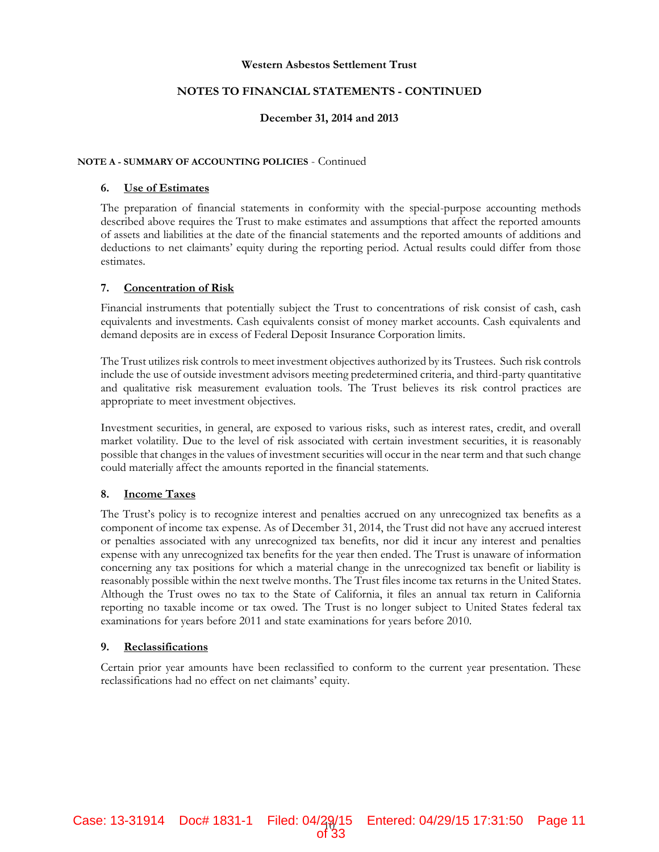#### **NOTES TO FINANCIAL STATEMENTS - CONTINUED**

#### **December 31, 2014 and 2013**

#### **NOTE A - SUMMARY OF ACCOUNTING POLICIES** - Continued

#### **6. Use of Estimates**

The preparation of financial statements in conformity with the special-purpose accounting methods described above requires the Trust to make estimates and assumptions that affect the reported amounts of assets and liabilities at the date of the financial statements and the reported amounts of additions and deductions to net claimants' equity during the reporting period. Actual results could differ from those estimates.

#### **7. Concentration of Risk**

Financial instruments that potentially subject the Trust to concentrations of risk consist of cash, cash equivalents and investments. Cash equivalents consist of money market accounts. Cash equivalents and demand deposits are in excess of Federal Deposit Insurance Corporation limits.

The Trust utilizes risk controls to meet investment objectives authorized by its Trustees. Such risk controls include the use of outside investment advisors meeting predetermined criteria, and third-party quantitative and qualitative risk measurement evaluation tools. The Trust believes its risk control practices are appropriate to meet investment objectives.

Investment securities, in general, are exposed to various risks, such as interest rates, credit, and overall market volatility. Due to the level of risk associated with certain investment securities, it is reasonably possible that changes in the values of investment securities will occur in the near term and that such change could materially affect the amounts reported in the financial statements.

#### **8. Income Taxes**

The Trust's policy is to recognize interest and penalties accrued on any unrecognized tax benefits as a component of income tax expense. As of December 31, 2014, the Trust did not have any accrued interest or penalties associated with any unrecognized tax benefits, nor did it incur any interest and penalties expense with any unrecognized tax benefits for the year then ended. The Trust is unaware of information concerning any tax positions for which a material change in the unrecognized tax benefit or liability is reasonably possible within the next twelve months. The Trust files income tax returns in the United States. Although the Trust owes no tax to the State of California, it files an annual tax return in California reporting no taxable income or tax owed. The Trust is no longer subject to United States federal tax examinations for years before 2011 and state examinations for years before 2010.

#### **9. Reclassifications**

Certain prior year amounts have been reclassified to conform to the current year presentation. These reclassifications had no effect on net claimants' equity.

Filed: 04/29/15

of 33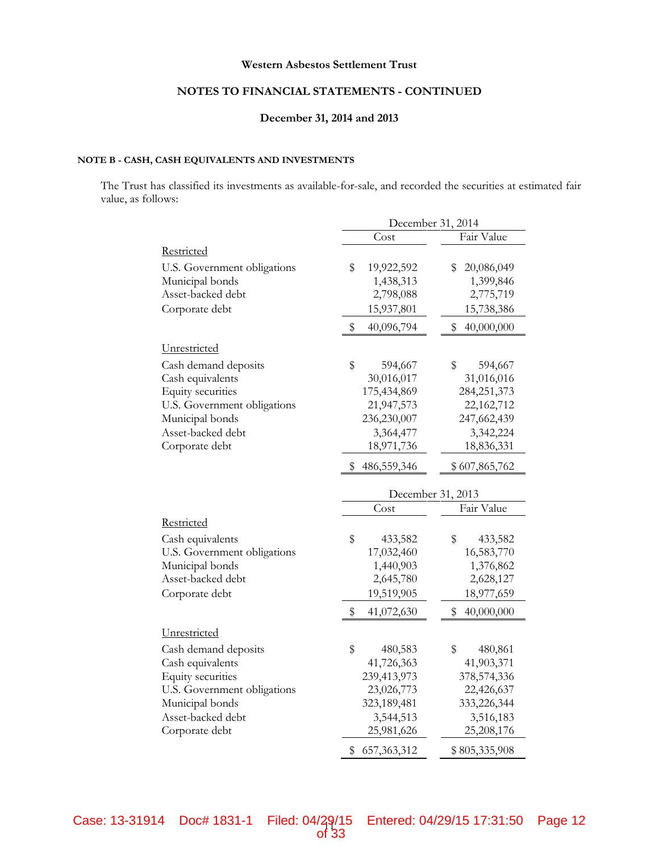#### **NOTES TO FINANCIAL STATEMENTS - CONTINUED**

#### **December 31, 2014 and 2013**

#### **NOTE B - CASH, CASH EQUIVALENTS AND INVESTMENTS**

The Trust has classified its investments as available-for-sale, and recorded the securities at estimated fair value, as follows:

|                             | December 31, 2014         |                  |  |
|-----------------------------|---------------------------|------------------|--|
|                             | Cost                      | Fair Value       |  |
| Restricted                  |                           |                  |  |
| U.S. Government obligations | \$<br>19,922,592          | 20,086,049<br>S  |  |
| Municipal bonds             | 1,438,313                 | 1,399,846        |  |
| Asset-backed debt           | 2,798,088                 | 2,775,719        |  |
| Corporate debt              | 15,937,801                | 15,738,386       |  |
|                             | \$<br>40,096,794          | \$<br>40,000,000 |  |
| Unrestricted                |                           |                  |  |
| Cash demand deposits        | \$<br>594,667             | \$<br>594,667    |  |
| Cash equivalents            | 30,016,017                | 31,016,016       |  |
| Equity securities           | 175,434,869               | 284, 251, 373    |  |
| U.S. Government obligations | 21,947,573                | 22,162,712       |  |
| Municipal bonds             | 236,230,007               | 247,662,439      |  |
| Asset-backed debt           | 3,364,477                 | 3,342,224        |  |
| Corporate debt              | 18,971,736                | 18,836,331       |  |
|                             | \$<br>486,559,346         | \$607,865,762    |  |
|                             |                           |                  |  |
|                             | December 31, 2013<br>Cost | Fair Value       |  |
|                             |                           |                  |  |
| Restricted                  |                           |                  |  |
| Cash equivalents            | \$<br>433,582             | \$<br>433,582    |  |
| U.S. Government obligations | 17,032,460                | 16,583,770       |  |
| Municipal bonds             | 1,440,903                 | 1,376,862        |  |
| Asset-backed debt           | 2,645,780                 | 2,628,127        |  |
| Corporate debt              | 19,519,905                | 18,977,659       |  |
|                             | \$<br>41,072,630          | \$<br>40,000,000 |  |
| Unrestricted                |                           |                  |  |
| Cash demand deposits        | \$<br>480,583             | \$<br>480,861    |  |
| Cash equivalents            | 41,726,363                | 41,903,371       |  |
| Equity securities           | 239,413,973               | 378,574,336      |  |
| U.S. Government obligations | 23,026,773                | 22,426,637       |  |
| Municipal bonds             | 323,189,481               | 333,226,344      |  |
| Asset-backed debt           | 3,544,513                 | 3,516,183        |  |
| Corporate debt              | 25,981,626                | 25,208,176       |  |
|                             | 657, 363, 312<br>\$       | \$805,335,908    |  |

of 33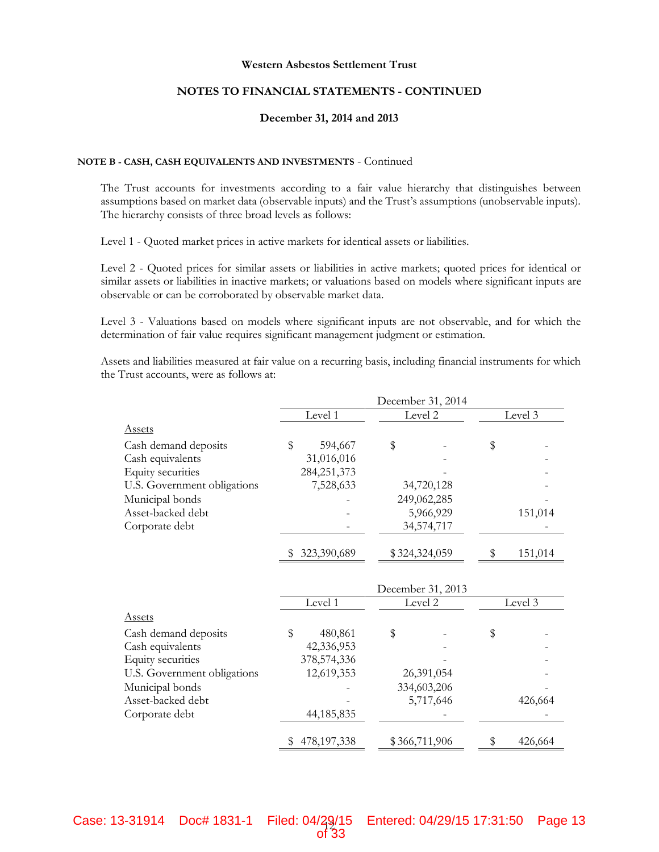#### **NOTES TO FINANCIAL STATEMENTS - CONTINUED**

#### **December 31, 2014 and 2013**

#### **NOTE B - CASH, CASH EQUIVALENTS AND INVESTMENTS** - Continued

The Trust accounts for investments according to a fair value hierarchy that distinguishes between assumptions based on market data (observable inputs) and the Trust's assumptions (unobservable inputs). The hierarchy consists of three broad levels as follows:

Level 1 - Quoted market prices in active markets for identical assets or liabilities.

Level 2 - Quoted prices for similar assets or liabilities in active markets; quoted prices for identical or similar assets or liabilities in inactive markets; or valuations based on models where significant inputs are observable or can be corroborated by observable market data.

Level 3 - Valuations based on models where significant inputs are not observable, and for which the determination of fair value requires significant management judgment or estimation.

Assets and liabilities measured at fair value on a recurring basis, including financial instruments for which the Trust accounts, were as follows at:

|                                       |         |               |         | December 31, 2014 |         |         |  |  |
|---------------------------------------|---------|---------------|---------|-------------------|---------|---------|--|--|
|                                       | Level 1 |               | Level 2 |                   | Level 3 |         |  |  |
| <b>Assets</b>                         |         |               |         |                   |         |         |  |  |
| Cash demand deposits                  | \$      | 594,667       | \$      |                   | \$      |         |  |  |
| Cash equivalents                      |         | 31,016,016    |         |                   |         |         |  |  |
| Equity securities                     |         | 284, 251, 373 |         |                   |         |         |  |  |
| U.S. Government obligations           |         | 7,528,633     |         | 34,720,128        |         |         |  |  |
| Municipal bonds                       |         |               |         | 249,062,285       |         |         |  |  |
| Asset-backed debt                     |         |               |         | 5,966,929         |         | 151,014 |  |  |
| Corporate debt                        |         |               |         | 34,574,717        |         |         |  |  |
|                                       |         | 323,390,689   |         | \$324,324,059     | \$      | 151,014 |  |  |
|                                       |         |               |         | December 31, 2013 |         |         |  |  |
|                                       |         | Level 1       |         | Level 2           |         | Level 3 |  |  |
| <b>Assets</b>                         |         |               |         |                   |         |         |  |  |
|                                       |         |               |         |                   |         |         |  |  |
|                                       | \$      | 480,861       | \$      |                   |         |         |  |  |
| Cash demand deposits                  |         | 42,336,953    |         |                   | \$      |         |  |  |
| Cash equivalents<br>Equity securities |         | 378, 574, 336 |         |                   |         |         |  |  |
| U.S. Government obligations           |         | 12,619,353    |         | 26,391,054        |         |         |  |  |
|                                       |         |               |         | 334,603,206       |         |         |  |  |
| Municipal bonds<br>Asset-backed debt  |         |               |         | 5,717,646         |         |         |  |  |
| Corporate debt                        |         | 44,185,835    |         |                   |         | 426,664 |  |  |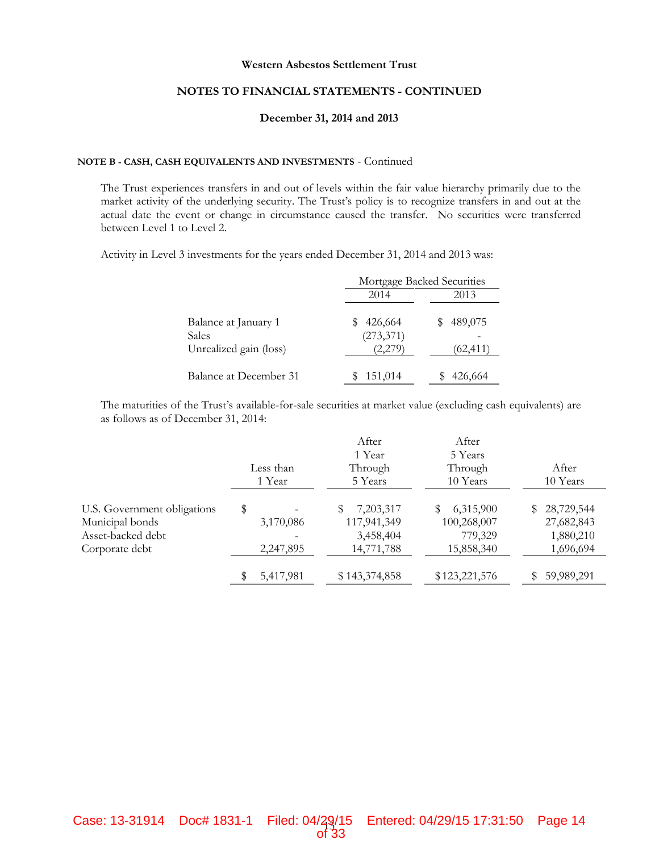#### **NOTES TO FINANCIAL STATEMENTS - CONTINUED**

#### **December 31, 2014 and 2013**

#### **NOTE B - CASH, CASH EQUIVALENTS AND INVESTMENTS** - Continued

The Trust experiences transfers in and out of levels within the fair value hierarchy primarily due to the market activity of the underlying security. The Trust's policy is to recognize transfers in and out at the actual date the event or change in circumstance caused the transfer. No securities were transferred between Level 1 to Level 2.

Activity in Level 3 investments for the years ended December 31, 2014 and 2013 was:

|                        |            | Mortgage Backed Securities |
|------------------------|------------|----------------------------|
|                        | 2014       | 2013                       |
| Balance at January 1   | 426,664    | 489,075                    |
| <b>Sales</b>           | (273, 371) |                            |
| Unrealized gain (loss) | (2,279)    | (62, 411)                  |
| Balance at December 31 | 151,014    | 426,664                    |

The maturities of the Trust's available-for-sale securities at market value (excluding cash equivalents) are as follows as of December 31, 2014:

|                             |           | After         | After         |                  |
|-----------------------------|-----------|---------------|---------------|------------------|
|                             |           | 1 Year        | 5 Years       |                  |
|                             | Less than | Through       | Through       | After            |
|                             | 1 Year    | 5 Years       | 10 Years      | 10 Years         |
| U.S. Government obligations | \$        | 7,203,317     | 6,315,900     | 28,729,544<br>S. |
| Municipal bonds             | 3,170,086 | 117,941,349   | 100,268,007   | 27,682,843       |
| Asset-backed debt           |           | 3,458,404     | 779,329       | 1,880,210        |
| Corporate debt              | 2,247,895 | 14,771,788    | 15,858,340    | 1,696,694        |
|                             | 5,417,981 | \$143,374,858 | \$123,221,576 | 59,989,291       |

of 33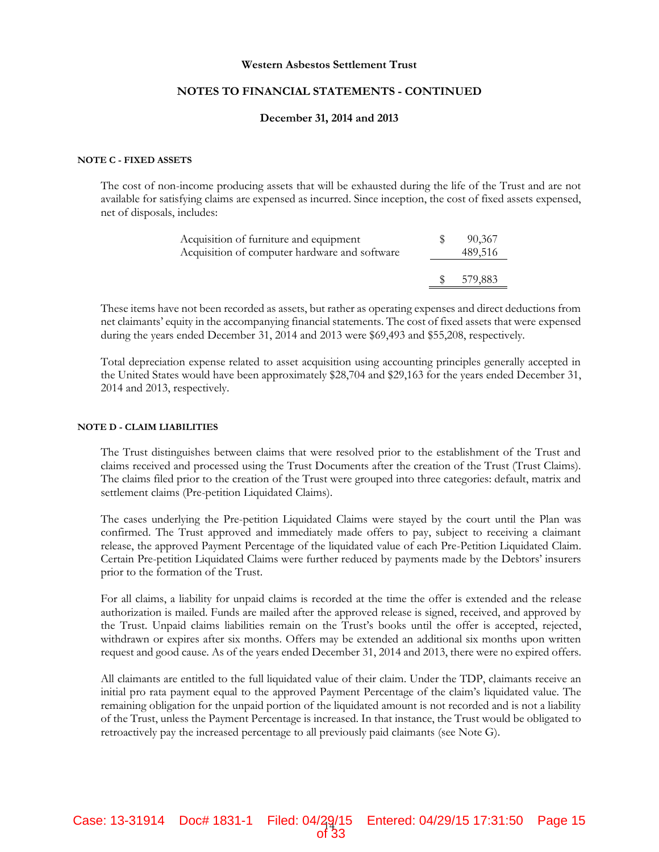#### **NOTES TO FINANCIAL STATEMENTS - CONTINUED**

#### **December 31, 2014 and 2013**

#### **NOTE C - FIXED ASSETS**

The cost of non-income producing assets that will be exhausted during the life of the Trust and are not available for satisfying claims are expensed as incurred. Since inception, the cost of fixed assets expensed, net of disposals, includes:

| Acquisition of furniture and equipment<br>Acquisition of computer hardware and software |      | 90,367<br>489,516 |  |
|-----------------------------------------------------------------------------------------|------|-------------------|--|
|                                                                                         | - SS | 579,883           |  |

These items have not been recorded as assets, but rather as operating expenses and direct deductions from net claimants' equity in the accompanying financial statements. The cost of fixed assets that were expensed during the years ended December 31, 2014 and 2013 were \$69,493 and \$55,208, respectively.

Total depreciation expense related to asset acquisition using accounting principles generally accepted in the United States would have been approximately \$28,704 and \$29,163 for the years ended December 31, 2014 and 2013, respectively.

#### **NOTE D - CLAIM LIABILITIES**

The Trust distinguishes between claims that were resolved prior to the establishment of the Trust and claims received and processed using the Trust Documents after the creation of the Trust (Trust Claims). The claims filed prior to the creation of the Trust were grouped into three categories: default, matrix and settlement claims (Pre-petition Liquidated Claims).

The cases underlying the Pre-petition Liquidated Claims were stayed by the court until the Plan was confirmed. The Trust approved and immediately made offers to pay, subject to receiving a claimant release, the approved Payment Percentage of the liquidated value of each Pre-Petition Liquidated Claim. Certain Pre-petition Liquidated Claims were further reduced by payments made by the Debtors' insurers prior to the formation of the Trust.

For all claims, a liability for unpaid claims is recorded at the time the offer is extended and the release authorization is mailed. Funds are mailed after the approved release is signed, received, and approved by the Trust. Unpaid claims liabilities remain on the Trust's books until the offer is accepted, rejected, withdrawn or expires after six months. Offers may be extended an additional six months upon written request and good cause. As of the years ended December 31, 2014 and 2013, there were no expired offers.

All claimants are entitled to the full liquidated value of their claim. Under the TDP, claimants receive an initial pro rata payment equal to the approved Payment Percentage of the claim's liquidated value. The remaining obligation for the unpaid portion of the liquidated amount is not recorded and is not a liability of the Trust, unless the Payment Percentage is increased. In that instance, the Trust would be obligated to retroactively pay the increased percentage to all previously paid claimants (see Note G).

of 33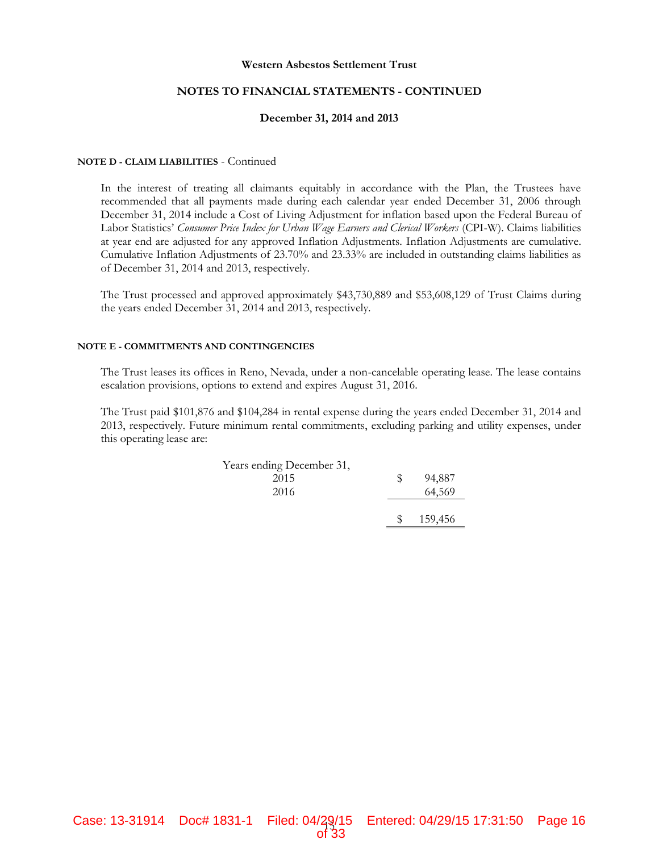#### **NOTES TO FINANCIAL STATEMENTS - CONTINUED**

#### **December 31, 2014 and 2013**

#### **NOTE D - CLAIM LIABILITIES** - Continued

In the interest of treating all claimants equitably in accordance with the Plan, the Trustees have recommended that all payments made during each calendar year ended December 31, 2006 through December 31, 2014 include a Cost of Living Adjustment for inflation based upon the Federal Bureau of Labor Statistics' *Consumer Price Index for Urban Wage Earners and Clerical Workers* (CPI-W). Claims liabilities at year end are adjusted for any approved Inflation Adjustments. Inflation Adjustments are cumulative. Cumulative Inflation Adjustments of 23.70% and 23.33% are included in outstanding claims liabilities as of December 31, 2014 and 2013, respectively.

The Trust processed and approved approximately \$43,730,889 and \$53,608,129 of Trust Claims during the years ended December 31, 2014 and 2013, respectively.

#### **NOTE E - COMMITMENTS AND CONTINGENCIES**

The Trust leases its offices in Reno, Nevada, under a non-cancelable operating lease. The lease contains escalation provisions, options to extend and expires August 31, 2016.

The Trust paid \$101,876 and \$104,284 in rental expense during the years ended December 31, 2014 and 2013, respectively. Future minimum rental commitments, excluding parking and utility expenses, under this operating lease are:

| Years ending December 31, |   |         |  |
|---------------------------|---|---------|--|
| 2015                      | S | 94,887  |  |
| 2016                      |   | 64,569  |  |
|                           | S | 159,456 |  |

of 33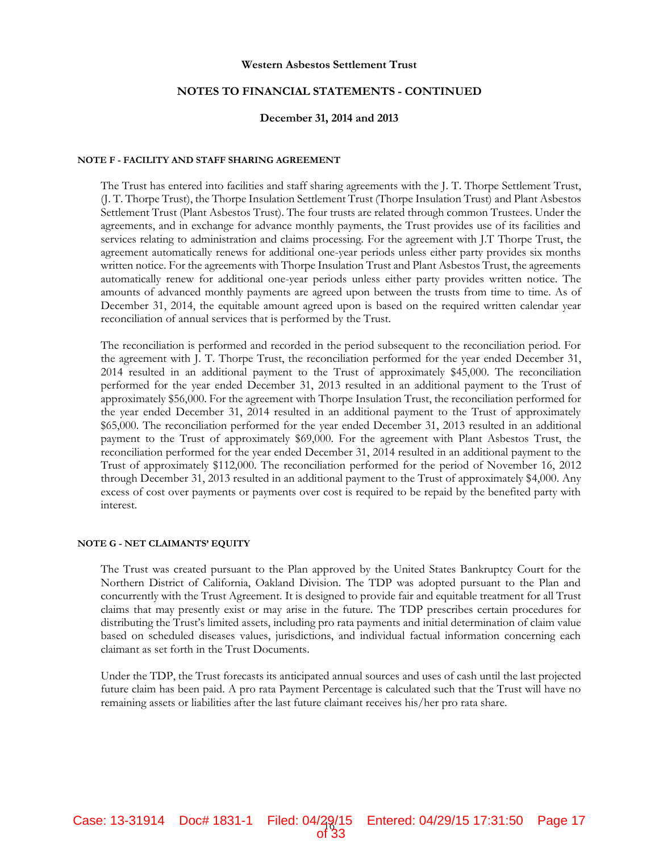#### **NOTES TO FINANCIAL STATEMENTS - CONTINUED**

#### **December 31, 2014 and 2013**

#### **NOTE F - FACILITY AND STAFF SHARING AGREEMENT**

The Trust has entered into facilities and staff sharing agreements with the J. T. Thorpe Settlement Trust, (J. T. Thorpe Trust), the Thorpe Insulation Settlement Trust (Thorpe Insulation Trust) and Plant Asbestos Settlement Trust (Plant Asbestos Trust). The four trusts are related through common Trustees. Under the agreements, and in exchange for advance monthly payments, the Trust provides use of its facilities and services relating to administration and claims processing. For the agreement with J.T Thorpe Trust, the agreement automatically renews for additional one-year periods unless either party provides six months written notice. For the agreements with Thorpe Insulation Trust and Plant Asbestos Trust, the agreements automatically renew for additional one-year periods unless either party provides written notice. The amounts of advanced monthly payments are agreed upon between the trusts from time to time. As of December 31, 2014, the equitable amount agreed upon is based on the required written calendar year reconciliation of annual services that is performed by the Trust.

The reconciliation is performed and recorded in the period subsequent to the reconciliation period. For the agreement with J. T. Thorpe Trust, the reconciliation performed for the year ended December 31, 2014 resulted in an additional payment to the Trust of approximately \$45,000. The reconciliation performed for the year ended December 31, 2013 resulted in an additional payment to the Trust of approximately \$56,000. For the agreement with Thorpe Insulation Trust, the reconciliation performed for the year ended December 31, 2014 resulted in an additional payment to the Trust of approximately \$65,000. The reconciliation performed for the year ended December 31, 2013 resulted in an additional payment to the Trust of approximately \$69,000. For the agreement with Plant Asbestos Trust, the reconciliation performed for the year ended December 31, 2014 resulted in an additional payment to the Trust of approximately \$112,000. The reconciliation performed for the period of November 16, 2012 through December 31, 2013 resulted in an additional payment to the Trust of approximately \$4,000. Any excess of cost over payments or payments over cost is required to be repaid by the benefited party with interest.

#### **NOTE G - NET CLAIMANTS' EQUITY**

The Trust was created pursuant to the Plan approved by the United States Bankruptcy Court for the Northern District of California, Oakland Division. The TDP was adopted pursuant to the Plan and concurrently with the Trust Agreement. It is designed to provide fair and equitable treatment for all Trust claims that may presently exist or may arise in the future. The TDP prescribes certain procedures for distributing the Trust's limited assets, including pro rata payments and initial determination of claim value based on scheduled diseases values, jurisdictions, and individual factual information concerning each claimant as set forth in the Trust Documents.

Under the TDP, the Trust forecasts its anticipated annual sources and uses of cash until the last projected future claim has been paid. A pro rata Payment Percentage is calculated such that the Trust will have no remaining assets or liabilities after the last future claimant receives his/her pro rata share.

Filed: 04/29/15

of 33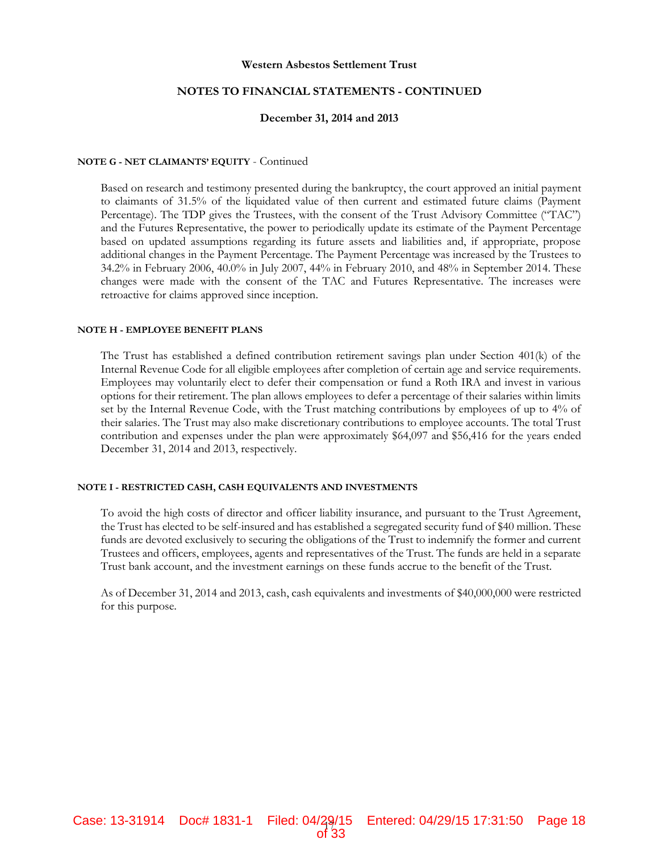#### **NOTES TO FINANCIAL STATEMENTS - CONTINUED**

#### **December 31, 2014 and 2013**

#### **NOTE G - NET CLAIMANTS' EQUITY** - Continued

Based on research and testimony presented during the bankruptcy, the court approved an initial payment to claimants of 31.5% of the liquidated value of then current and estimated future claims (Payment Percentage). The TDP gives the Trustees, with the consent of the Trust Advisory Committee ("TAC") and the Futures Representative, the power to periodically update its estimate of the Payment Percentage based on updated assumptions regarding its future assets and liabilities and, if appropriate, propose additional changes in the Payment Percentage. The Payment Percentage was increased by the Trustees to 34.2% in February 2006, 40.0% in July 2007, 44% in February 2010, and 48% in September 2014. These changes were made with the consent of the TAC and Futures Representative. The increases were retroactive for claims approved since inception.

#### **NOTE H - EMPLOYEE BENEFIT PLANS**

The Trust has established a defined contribution retirement savings plan under Section 401(k) of the Internal Revenue Code for all eligible employees after completion of certain age and service requirements. Employees may voluntarily elect to defer their compensation or fund a Roth IRA and invest in various options for their retirement. The plan allows employees to defer a percentage of their salaries within limits set by the Internal Revenue Code, with the Trust matching contributions by employees of up to 4% of their salaries. The Trust may also make discretionary contributions to employee accounts. The total Trust contribution and expenses under the plan were approximately \$64,097 and \$56,416 for the years ended December 31, 2014 and 2013, respectively.

#### **NOTE I - RESTRICTED CASH, CASH EQUIVALENTS AND INVESTMENTS**

To avoid the high costs of director and officer liability insurance, and pursuant to the Trust Agreement, the Trust has elected to be self-insured and has established a segregated security fund of \$40 million. These funds are devoted exclusively to securing the obligations of the Trust to indemnify the former and current Trustees and officers, employees, agents and representatives of the Trust. The funds are held in a separate Trust bank account, and the investment earnings on these funds accrue to the benefit of the Trust.

As of December 31, 2014 and 2013, cash, cash equivalents and investments of \$40,000,000 were restricted for this purpose.

Filed: 04/29/15 Case: 13-31914 Doc# 1831-1 Filed: 04/29/15 Entered: 04/29/15 17:31:50 Page 18 of 33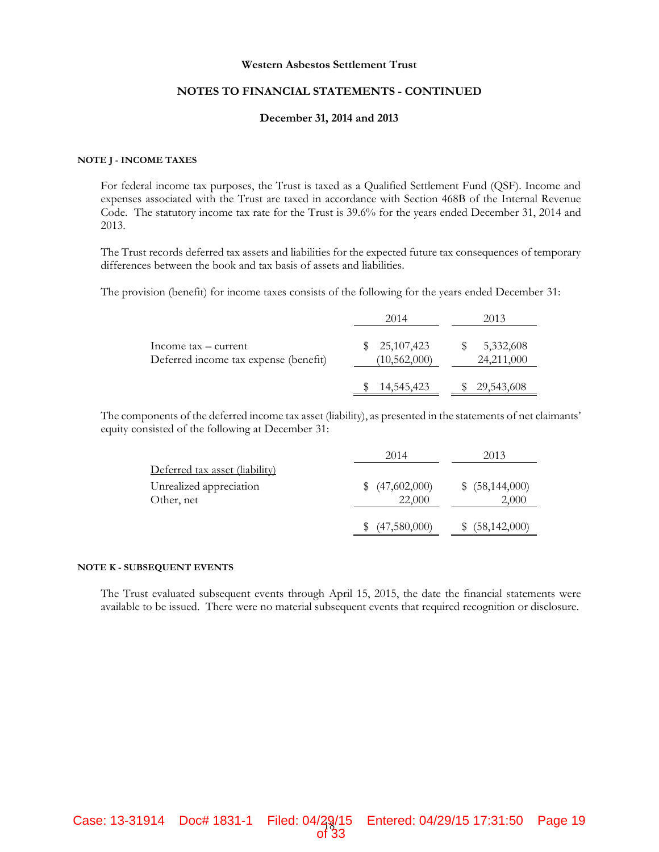#### **NOTES TO FINANCIAL STATEMENTS - CONTINUED**

#### **December 31, 2014 and 2013**

#### **NOTE J - INCOME TAXES**

For federal income tax purposes, the Trust is taxed as a Qualified Settlement Fund (QSF). Income and expenses associated with the Trust are taxed in accordance with Section 468B of the Internal Revenue Code. The statutory income tax rate for the Trust is 39.6% for the years ended December 31, 2014 and 2013.

The Trust records deferred tax assets and liabilities for the expected future tax consequences of temporary differences between the book and tax basis of assets and liabilities.

The provision (benefit) for income taxes consists of the following for the years ended December 31:

|                                                               | 2014                           | 2013                    |
|---------------------------------------------------------------|--------------------------------|-------------------------|
| Income tax – current<br>Deferred income tax expense (benefit) | \$25,107,423<br>(10, 562, 000) | 5,332,608<br>24,211,000 |
|                                                               | 14,545,423                     | 29,543,608              |

The components of the deferred income tax asset (liability), as presented in the statements of net claimants' equity consisted of the following at December 31:

|                                       | 2014                   | 2013                       |
|---------------------------------------|------------------------|----------------------------|
| Deferred tax asset (liability)        |                        |                            |
| Unrealized appreciation<br>Other, net | (47,602,000)<br>22,000 | \$ (58, 144, 000)<br>2,000 |
|                                       | (47,580,000)           | (58, 142, 000)             |

#### **NOTE K - SUBSEQUENT EVENTS**

The Trust evaluated subsequent events through April 15, 2015, the date the financial statements were available to be issued. There were no material subsequent events that required recognition or disclosure.

of 33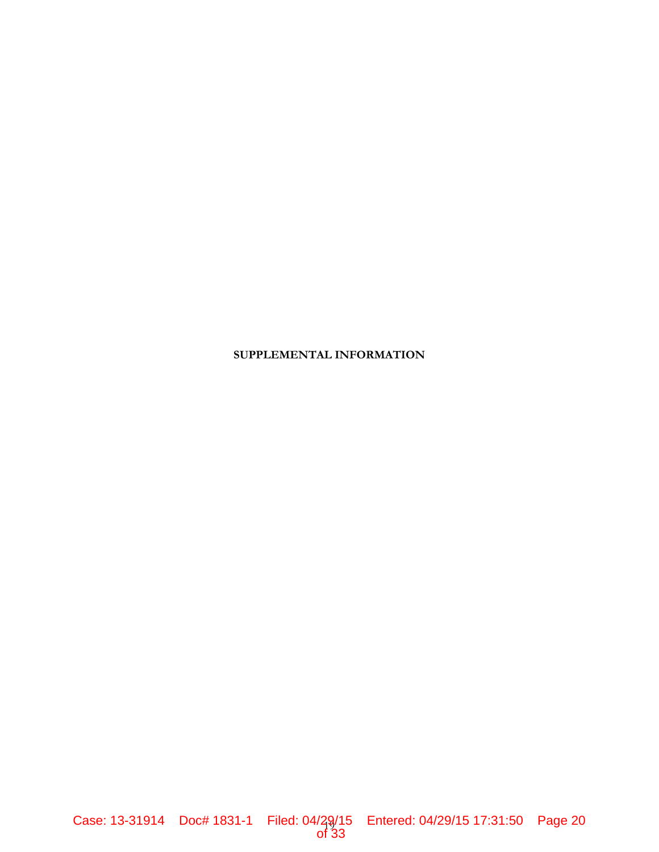## **SUPPLEMENTAL INFORMATION**

of 33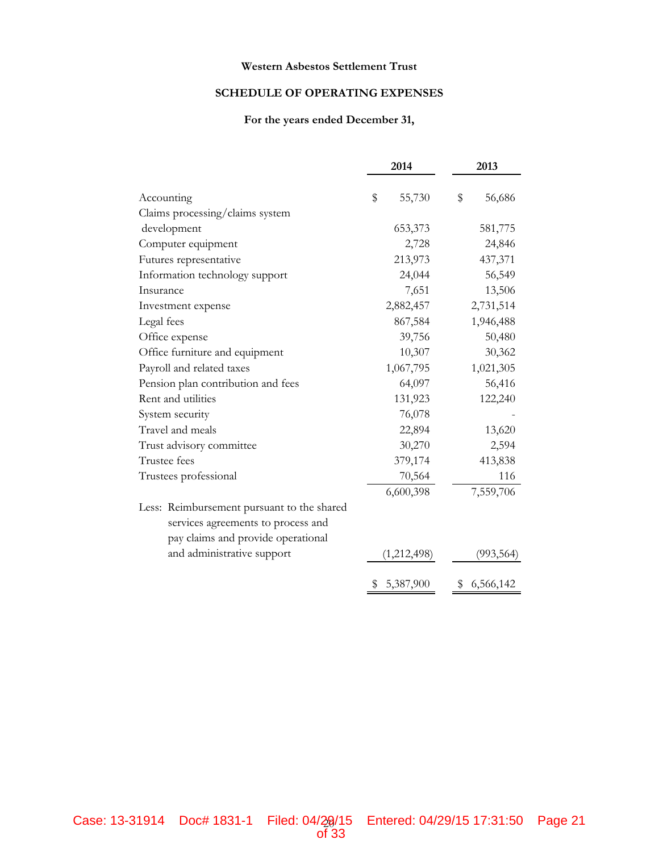#### **SCHEDULE OF OPERATING EXPENSES**

#### **For the years ended December 31,**

|                                            | 2014         | 2013         |
|--------------------------------------------|--------------|--------------|
| Accounting                                 | \$<br>55,730 | \$<br>56,686 |
| Claims processing/claims system            |              |              |
| development                                | 653,373      | 581,775      |
| Computer equipment                         | 2,728        | 24,846       |
| Futures representative                     | 213,973      | 437,371      |
| Information technology support             | 24,044       | 56,549       |
| Insurance                                  | 7,651        | 13,506       |
| Investment expense                         | 2,882,457    | 2,731,514    |
| Legal fees                                 | 867,584      | 1,946,488    |
| Office expense                             | 39,756       | 50,480       |
| Office furniture and equipment             | 10,307       | 30,362       |
| Payroll and related taxes                  | 1,067,795    | 1,021,305    |
| Pension plan contribution and fees         | 64,097       | 56,416       |
| Rent and utilities                         | 131,923      | 122,240      |
| System security                            | 76,078       |              |
| Travel and meals                           | 22,894       | 13,620       |
| Trust advisory committee                   | 30,270       | 2,594        |
| Trustee fees                               | 379,174      | 413,838      |
| Trustees professional                      | 70,564       | 116          |
|                                            | 6,600,398    | 7,559,706    |
| Less: Reimbursement pursuant to the shared |              |              |
| services agreements to process and         |              |              |
| pay claims and provide operational         |              |              |
| and administrative support                 | (1,212,498)  | (993, 564)   |
|                                            | \$5,387,900  | \$6,566,142  |

of 33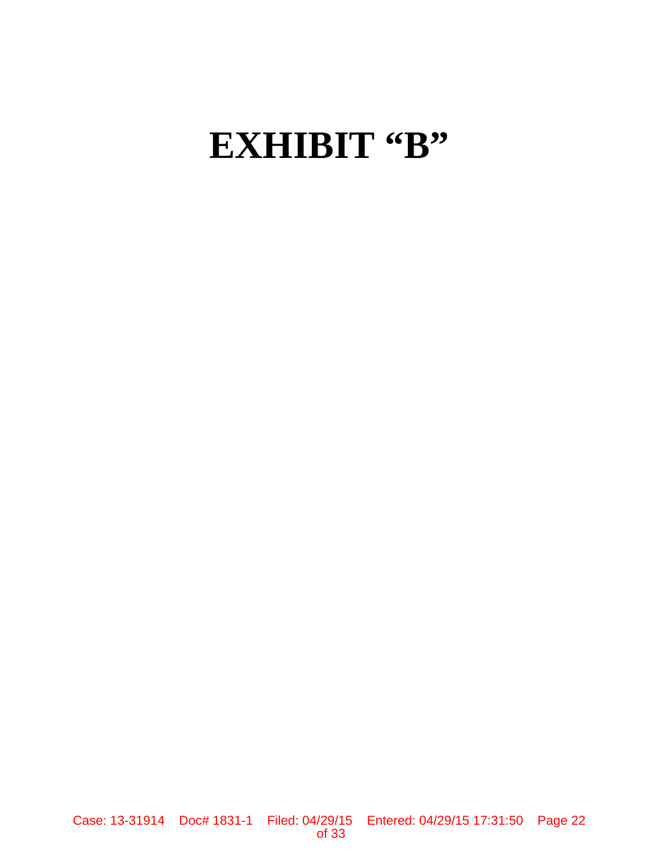# EXHIBIT "B"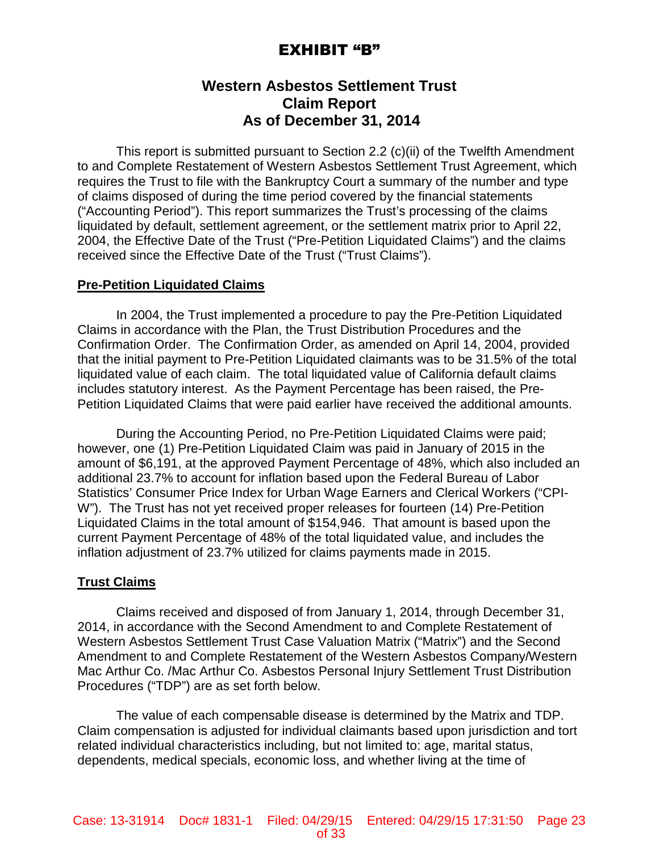# EXHIBIT "B"

# **Western Asbestos Settlement Trust Claim Report As of December 31, 2014**

This report is submitted pursuant to Section 2.2 (c)(ii) of the Twelfth Amendment to and Complete Restatement of Western Asbestos Settlement Trust Agreement, which requires the Trust to file with the Bankruptcy Court a summary of the number and type of claims disposed of during the time period covered by the financial statements ("Accounting Period"). This report summarizes the Trust's processing of the claims liquidated by default, settlement agreement, or the settlement matrix prior to April 22, 2004, the Effective Date of the Trust ("Pre-Petition Liquidated Claims") and the claims received since the Effective Date of the Trust ("Trust Claims").

#### **Pre-Petition Liquidated Claims**

In 2004, the Trust implemented a procedure to pay the Pre-Petition Liquidated Claims in accordance with the Plan, the Trust Distribution Procedures and the Confirmation Order. The Confirmation Order, as amended on April 14, 2004, provided that the initial payment to Pre-Petition Liquidated claimants was to be 31.5% of the total liquidated value of each claim. The total liquidated value of California default claims includes statutory interest. As the Payment Percentage has been raised, the Pre-Petition Liquidated Claims that were paid earlier have received the additional amounts.

During the Accounting Period, no Pre-Petition Liquidated Claims were paid; however, one (1) Pre-Petition Liquidated Claim was paid in January of 2015 in the amount of \$6,191, at the approved Payment Percentage of 48%, which also included an additional 23.7% to account for inflation based upon the Federal Bureau of Labor Statistics' Consumer Price Index for Urban Wage Earners and Clerical Workers ("CPI-W"). The Trust has not yet received proper releases for fourteen (14) Pre-Petition Liquidated Claims in the total amount of \$154,946. That amount is based upon the current Payment Percentage of 48% of the total liquidated value, and includes the inflation adjustment of 23.7% utilized for claims payments made in 2015.

### **Trust Claims**

Claims received and disposed of from January 1, 2014, through December 31, 2014, in accordance with the Second Amendment to and Complete Restatement of Western Asbestos Settlement Trust Case Valuation Matrix ("Matrix") and the Second Amendment to and Complete Restatement of the Western Asbestos Company/Western Mac Arthur Co. /Mac Arthur Co. Asbestos Personal Injury Settlement Trust Distribution Procedures ("TDP") are as set forth below.

The value of each compensable disease is determined by the Matrix and TDP. Claim compensation is adjusted for individual claimants based upon jurisdiction and tort related individual characteristics including, but not limited to: age, marital status, dependents, medical specials, economic loss, and whether living at the time of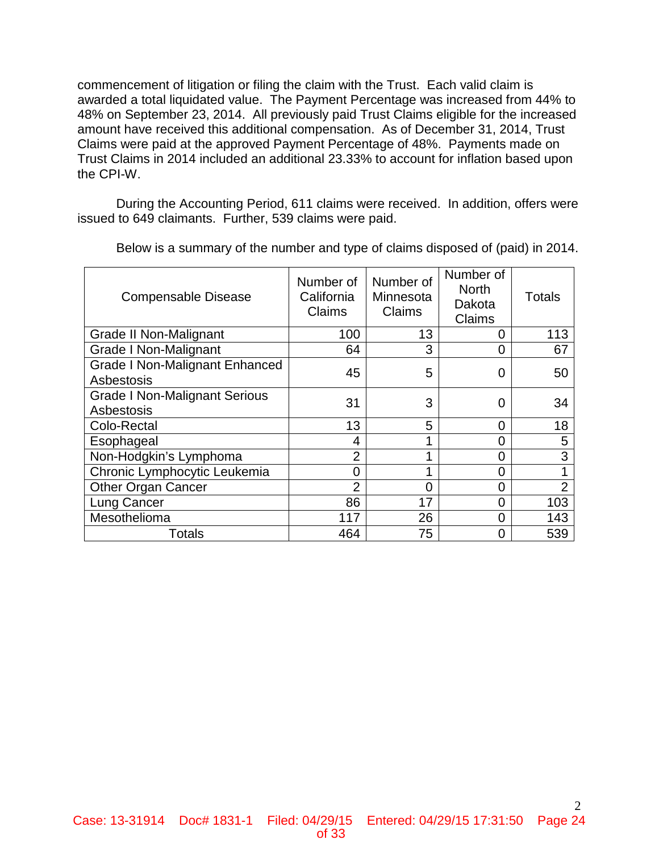commencement of litigation or filing the claim with the Trust. Each valid claim is awarded a total liquidated value. The Payment Percentage was increased from 44% to 48% on September 23, 2014. All previously paid Trust Claims eligible for the increased amount have received this additional compensation. As of December 31, 2014, Trust Claims were paid at the approved Payment Percentage of 48%. Payments made on Trust Claims in 2014 included an additional 23.33% to account for inflation based upon the CPI-W.

During the Accounting Period, 611 claims were received. In addition, offers were issued to 649 claimants. Further, 539 claims were paid.

| <b>Compensable Disease</b>                          | Number of<br>California<br>Claims | Number of<br>Minnesota<br>Claims | Number of<br><b>North</b><br>Dakota<br>Claims | <b>Totals</b>  |
|-----------------------------------------------------|-----------------------------------|----------------------------------|-----------------------------------------------|----------------|
| Grade II Non-Malignant                              | 100                               | 13                               | 0                                             | 113            |
| <b>Grade I Non-Malignant</b>                        | 64                                | 3                                | 0                                             | 67             |
| <b>Grade I Non-Malignant Enhanced</b><br>Asbestosis | 45                                | 5                                | 0                                             | 50             |
| <b>Grade I Non-Malignant Serious</b><br>Asbestosis  | 31                                | 3                                | 0                                             | 34             |
| Colo-Rectal                                         | 13                                | 5                                | 0                                             | 18             |
| Esophageal                                          | 4                                 |                                  | 0                                             | 5              |
| Non-Hodgkin's Lymphoma                              | $\overline{2}$                    | 4                                | 0                                             | 3              |
| Chronic Lymphocytic Leukemia                        | 0                                 | 4                                | 0                                             |                |
| <b>Other Organ Cancer</b>                           | $\overline{2}$                    | $\overline{0}$                   | 0                                             | $\overline{2}$ |
| Lung Cancer                                         | 86                                | 17                               | 0                                             | 103            |
| Mesothelioma                                        | 117                               | 26                               | 0                                             | 143            |
| Totals                                              | 464                               | 75                               | 0                                             | 539            |

Below is a summary of the number and type of claims disposed of (paid) in 2014.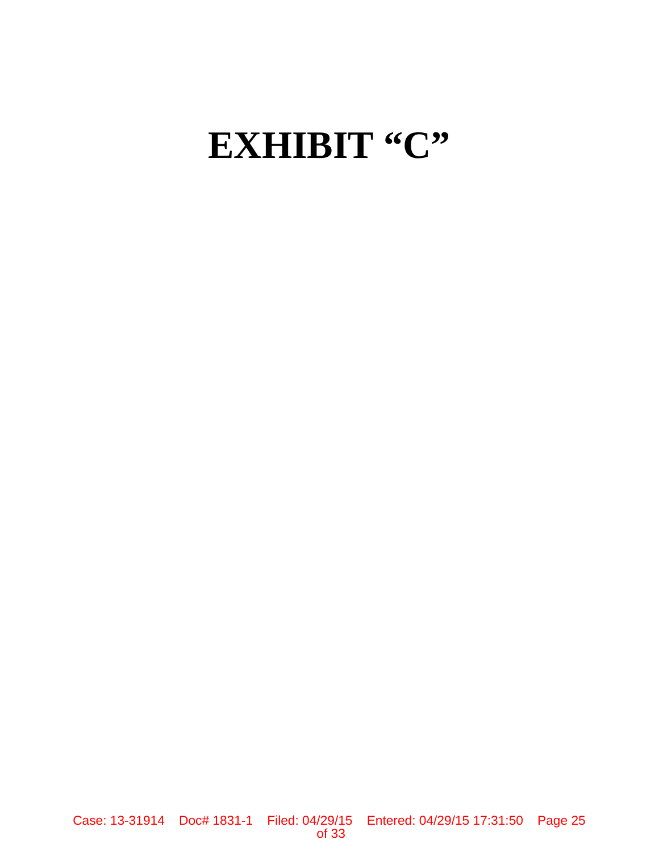# EXHIBIT "C"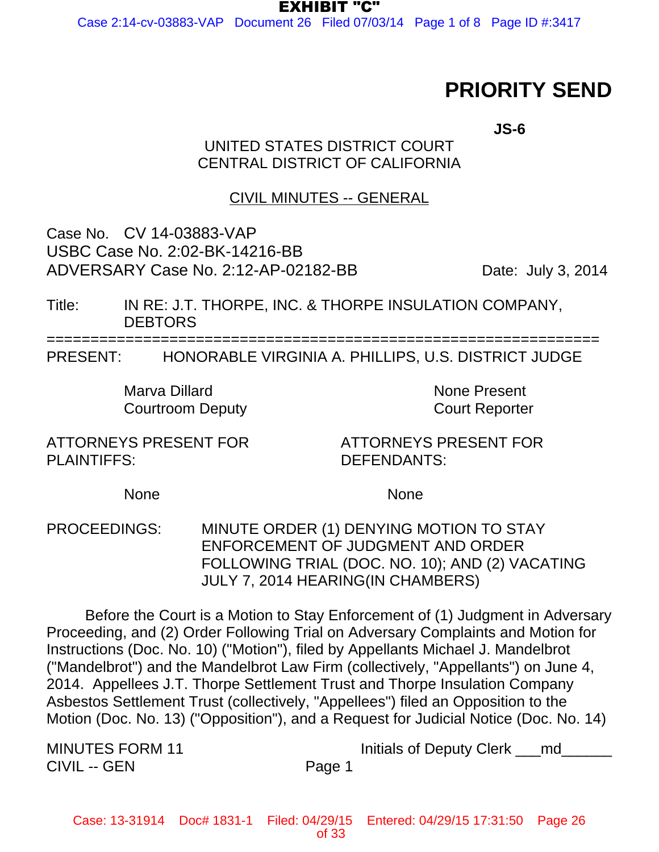EXHIBIT "C"

Case 2:14-cv-03883-VAP Document 26 Filed 07/03/14 Page 1 of 8 Page ID #:3417

# **PRIORITY SEND**

**JS-6**

# UNITED STATES DISTRICT COURT CENTRAL DISTRICT OF CALIFORNIA

# CIVIL MINUTES -- GENERAL

Case No. CV 14-03883-VAP USBC Case No. 2:02-BK-14216-BB ADVERSARY Case No. 2:12-AP-02182-BB Date: July 3, 2014

Title: IN RE: J.T. THORPE, INC. & THORPE INSULATION COMPANY, **DEBTORS** 

===============================================================

PRESENT: HONORABLE VIRGINIA A. PHILLIPS, U.S. DISTRICT JUDGE

Marva Dillard **None Present** Courtroom Deputy **Court Reporter** 

ATTORNEYS PRESENT FOR PLAINTIFFS:

ATTORNEYS PRESENT FOR DEFENDANTS:

None None

PROCEEDINGS: MINUTE ORDER (1) DENYING MOTION TO STAY ENFORCEMENT OF JUDGMENT AND ORDER FOLLOWING TRIAL (DOC. NO. 10); AND (2) VACATING JULY 7, 2014 HEARING(IN CHAMBERS)

Before the Court is a Motion to Stay Enforcement of (1) Judgment in Adversary Proceeding, and (2) Order Following Trial on Adversary Complaints and Motion for Instructions (Doc. No. 10) ("Motion"), filed by Appellants Michael J. Mandelbrot ("Mandelbrot") and the Mandelbrot Law Firm (collectively, "Appellants") on June 4, 2014. Appellees J.T. Thorpe Settlement Trust and Thorpe Insulation Company Asbestos Settlement Trust (collectively, "Appellees") filed an Opposition to the Motion (Doc. No. 13) ("Opposition"), and a Request for Judicial Notice (Doc. No. 14)

CIVIL -- GEN Page 1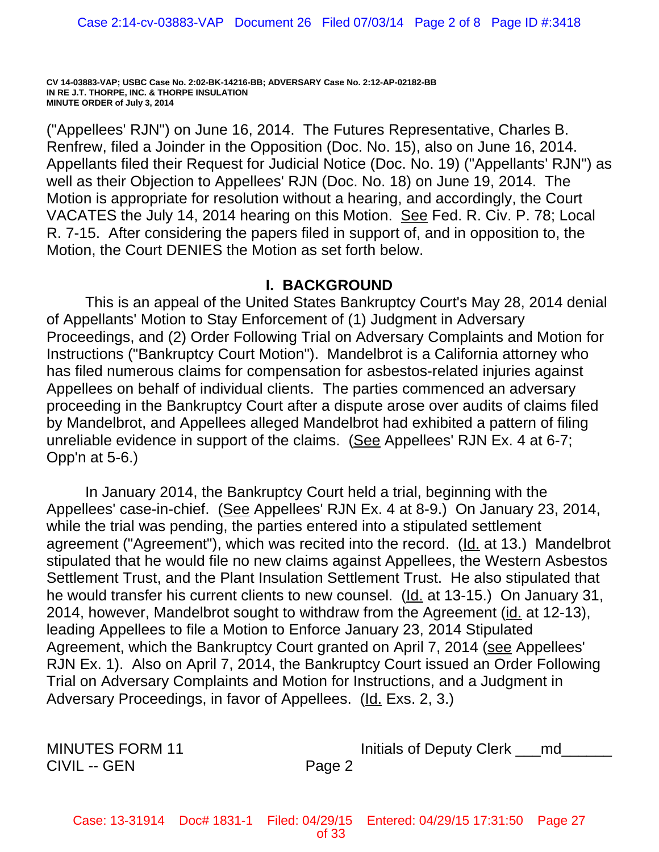("Appellees' RJN") on June 16, 2014. The Futures Representative, Charles B. Renfrew, filed a Joinder in the Opposition (Doc. No. 15), also on June 16, 2014. Appellants filed their Request for Judicial Notice (Doc. No. 19) ("Appellants' RJN") as well as their Objection to Appellees' RJN (Doc. No. 18) on June 19, 2014. The Motion is appropriate for resolution without a hearing, and accordingly, the Court VACATES the July 14, 2014 hearing on this Motion. See Fed. R. Civ. P. 78; Local R. 7-15. After considering the papers filed in support of, and in opposition to, the Motion, the Court DENIES the Motion as set forth below.

## **I. BACKGROUND**

This is an appeal of the United States Bankruptcy Court's May 28, 2014 denial of Appellants' Motion to Stay Enforcement of (1) Judgment in Adversary Proceedings, and (2) Order Following Trial on Adversary Complaints and Motion for Instructions ("Bankruptcy Court Motion"). Mandelbrot is a California attorney who has filed numerous claims for compensation for asbestos-related injuries against Appellees on behalf of individual clients. The parties commenced an adversary proceeding in the Bankruptcy Court after a dispute arose over audits of claims filed by Mandelbrot, and Appellees alleged Mandelbrot had exhibited a pattern of filing unreliable evidence in support of the claims. (See Appellees' RJN Ex. 4 at 6-7; Opp'n at 5-6.)

In January 2014, the Bankruptcy Court held a trial, beginning with the Appellees' case-in-chief. (See Appellees' RJN Ex. 4 at 8-9.) On January 23, 2014, while the trial was pending, the parties entered into a stipulated settlement agreement ("Agreement"), which was recited into the record. (Id. at 13.) Mandelbrot stipulated that he would file no new claims against Appellees, the Western Asbestos Settlement Trust, and the Plant Insulation Settlement Trust. He also stipulated that he would transfer his current clients to new counsel. (Id. at 13-15.) On January 31, 2014, however, Mandelbrot sought to withdraw from the Agreement (id. at 12-13), leading Appellees to file a Motion to Enforce January 23, 2014 Stipulated Agreement, which the Bankruptcy Court granted on April 7, 2014 (see Appellees' RJN Ex. 1). Also on April 7, 2014, the Bankruptcy Court issued an Order Following Trial on Adversary Complaints and Motion for Instructions, and a Judgment in Adversary Proceedings, in favor of Appellees. (Id. Exs. 2, 3.)

CIVIL -- GEN Page 2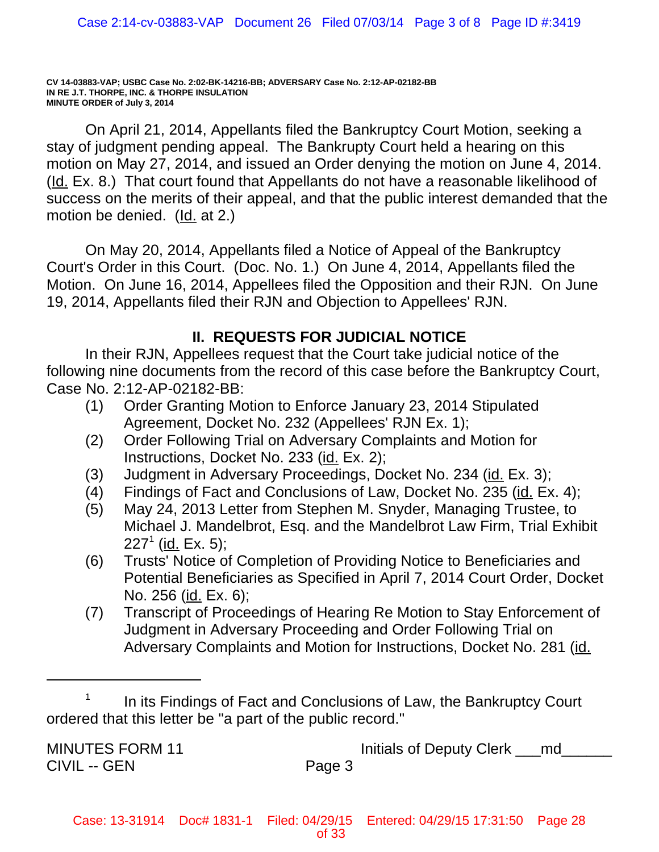On April 21, 2014, Appellants filed the Bankruptcy Court Motion, seeking a stay of judgment pending appeal. The Bankrupty Court held a hearing on this motion on May 27, 2014, and issued an Order denying the motion on June 4, 2014. (Id. Ex. 8.) That court found that Appellants do not have a reasonable likelihood of success on the merits of their appeal, and that the public interest demanded that the motion be denied. (Id. at 2.)

On May 20, 2014, Appellants filed a Notice of Appeal of the Bankruptcy Court's Order in this Court. (Doc. No. 1.) On June 4, 2014, Appellants filed the Motion. On June 16, 2014, Appellees filed the Opposition and their RJN. On June 19, 2014, Appellants filed their RJN and Objection to Appellees' RJN.

# **II. REQUESTS FOR JUDICIAL NOTICE**

In their RJN, Appellees request that the Court take judicial notice of the following nine documents from the record of this case before the Bankruptcy Court, Case No. 2:12-AP-02182-BB:

- (1) Order Granting Motion to Enforce January 23, 2014 Stipulated Agreement, Docket No. 232 (Appellees' RJN Ex. 1);
- (2) Order Following Trial on Adversary Complaints and Motion for Instructions, Docket No. 233 (id. Ex. 2);
- (3) Judgment in Adversary Proceedings, Docket No. 234 (id. Ex. 3);
- (4) Findings of Fact and Conclusions of Law, Docket No. 235 (id. Ex. 4);
- (5) May 24, 2013 Letter from Stephen M. Snyder, Managing Trustee, to Michael J. Mandelbrot, Esq. and the Mandelbrot Law Firm, Trial Exhibit 227<sup>1</sup> (<u>id.</u> Ex. 5);
- (6) Trusts' Notice of Completion of Providing Notice to Beneficiaries and Potential Beneficiaries as Specified in April 7, 2014 Court Order, Docket No. 256 (id. Ex. 6);
- (7) Transcript of Proceedings of Hearing Re Motion to Stay Enforcement of Judgment in Adversary Proceeding and Order Following Trial on Adversary Complaints and Motion for Instructions, Docket No. 281 (id.

CIVIL -- GEN Page 3

In its Findings of Fact and Conclusions of Law, the Bankruptcy Court ordered that this letter be "a part of the public record."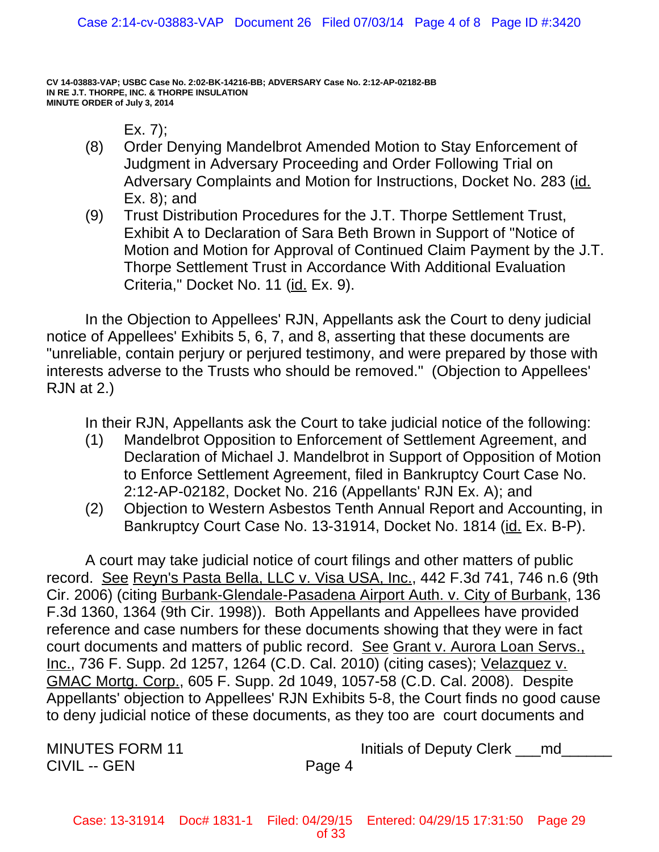$Ex. 7$ :

- (8) Order Denying Mandelbrot Amended Motion to Stay Enforcement of Judgment in Adversary Proceeding and Order Following Trial on Adversary Complaints and Motion for Instructions, Docket No. 283 (id. Ex. 8); and
- (9) Trust Distribution Procedures for the J.T. Thorpe Settlement Trust, Exhibit A to Declaration of Sara Beth Brown in Support of "Notice of Motion and Motion for Approval of Continued Claim Payment by the J.T. Thorpe Settlement Trust in Accordance With Additional Evaluation Criteria," Docket No. 11 (id. Ex. 9).

In the Objection to Appellees' RJN, Appellants ask the Court to deny judicial notice of Appellees' Exhibits 5, 6, 7, and 8, asserting that these documents are "unreliable, contain perjury or perjured testimony, and were prepared by those with interests adverse to the Trusts who should be removed." (Objection to Appellees' RJN at 2.)

In their RJN, Appellants ask the Court to take judicial notice of the following:

- (1) Mandelbrot Opposition to Enforcement of Settlement Agreement, and Declaration of Michael J. Mandelbrot in Support of Opposition of Motion to Enforce Settlement Agreement, filed in Bankruptcy Court Case No. 2:12-AP-02182, Docket No. 216 (Appellants' RJN Ex. A); and
- (2) Objection to Western Asbestos Tenth Annual Report and Accounting, in Bankruptcy Court Case No. 13-31914, Docket No. 1814 (id. Ex. B-P).

A court may take judicial notice of court filings and other matters of public record. See Reyn's Pasta Bella, LLC v. Visa USA, Inc., 442 F.3d 741, 746 n.6 (9th Cir. 2006) (citing Burbank-Glendale-Pasadena Airport Auth. v. City of Burbank, 136 F.3d 1360, 1364 (9th Cir. 1998)). Both Appellants and Appellees have provided reference and case numbers for these documents showing that they were in fact court documents and matters of public record. See Grant v. Aurora Loan Servs., Inc., 736 F. Supp. 2d 1257, 1264 (C.D. Cal. 2010) (citing cases); Velazquez v. GMAC Mortg. Corp., 605 F. Supp. 2d 1049, 1057-58 (C.D. Cal. 2008). Despite Appellants' objection to Appellees' RJN Exhibits 5-8, the Court finds no good cause to deny judicial notice of these documents, as they too are court documents and

CIVIL -- GEN Page 4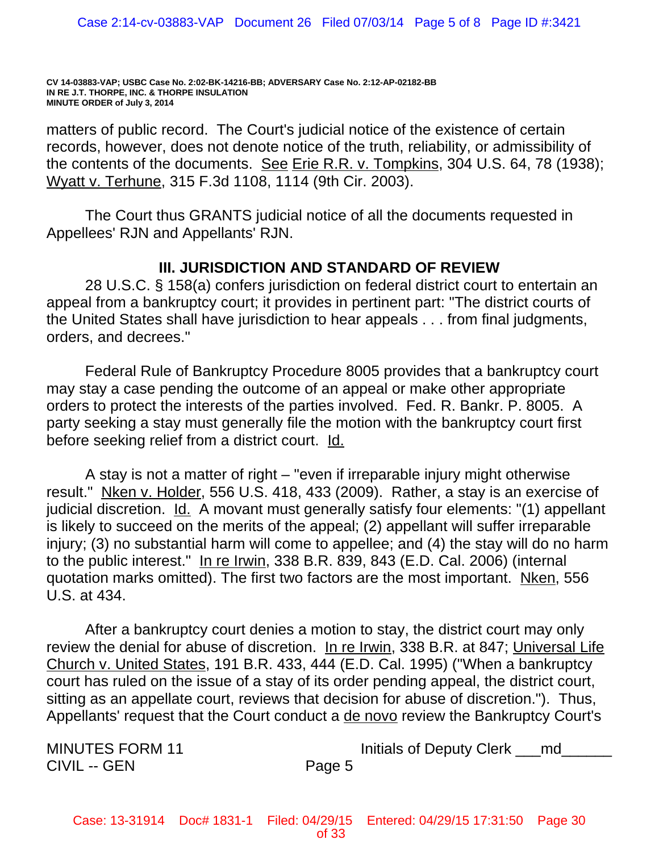matters of public record. The Court's judicial notice of the existence of certain records, however, does not denote notice of the truth, reliability, or admissibility of the contents of the documents. See Erie R.R. v. Tompkins, 304 U.S. 64, 78 (1938); Wyatt v. Terhune, 315 F.3d 1108, 1114 (9th Cir. 2003).

The Court thus GRANTS judicial notice of all the documents requested in Appellees' RJN and Appellants' RJN.

# **III. JURISDICTION AND STANDARD OF REVIEW**

28 U.S.C. § 158(a) confers jurisdiction on federal district court to entertain an appeal from a bankruptcy court; it provides in pertinent part: "The district courts of the United States shall have jurisdiction to hear appeals . . . from final judgments, orders, and decrees."

Federal Rule of Bankruptcy Procedure 8005 provides that a bankruptcy court may stay a case pending the outcome of an appeal or make other appropriate orders to protect the interests of the parties involved. Fed. R. Bankr. P. 8005. A party seeking a stay must generally file the motion with the bankruptcy court first before seeking relief from a district court. Id.

A stay is not a matter of right – "even if irreparable injury might otherwise result." Nken v. Holder, 556 U.S. 418, 433 (2009). Rather, a stay is an exercise of judicial discretion. Id. A movant must generally satisfy four elements: "(1) appellant is likely to succeed on the merits of the appeal; (2) appellant will suffer irreparable injury; (3) no substantial harm will come to appellee; and (4) the stay will do no harm to the public interest." In re Irwin, 338 B.R. 839, 843 (E.D. Cal. 2006) (internal quotation marks omitted). The first two factors are the most important. Nken, 556 U.S. at 434.

After a bankruptcy court denies a motion to stay, the district court may only review the denial for abuse of discretion. In re Irwin, 338 B.R. at 847; Universal Life Church v. United States, 191 B.R. 433, 444 (E.D. Cal. 1995) ("When a bankruptcy court has ruled on the issue of a stay of its order pending appeal, the district court, sitting as an appellate court, reviews that decision for abuse of discretion."). Thus, Appellants' request that the Court conduct a de novo review the Bankruptcy Court's

CIVIL -- GEN Page 5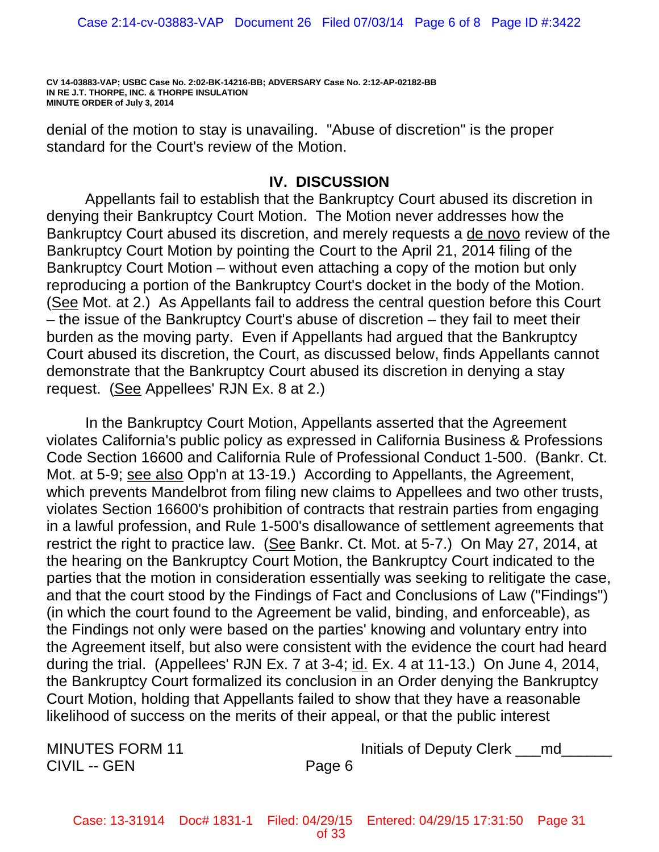denial of the motion to stay is unavailing. "Abuse of discretion" is the proper standard for the Court's review of the Motion.

# **IV. DISCUSSION**

Appellants fail to establish that the Bankruptcy Court abused its discretion in denying their Bankruptcy Court Motion. The Motion never addresses how the Bankruptcy Court abused its discretion, and merely requests a de novo review of the Bankruptcy Court Motion by pointing the Court to the April 21, 2014 filing of the Bankruptcy Court Motion – without even attaching a copy of the motion but only reproducing a portion of the Bankruptcy Court's docket in the body of the Motion. (See Mot. at 2.) As Appellants fail to address the central question before this Court – the issue of the Bankruptcy Court's abuse of discretion – they fail to meet their burden as the moving party. Even if Appellants had argued that the Bankruptcy Court abused its discretion, the Court, as discussed below, finds Appellants cannot demonstrate that the Bankruptcy Court abused its discretion in denying a stay request. (See Appellees' RJN Ex. 8 at 2.)

In the Bankruptcy Court Motion, Appellants asserted that the Agreement violates California's public policy as expressed in California Business & Professions Code Section 16600 and California Rule of Professional Conduct 1-500. (Bankr. Ct. Mot. at 5-9; see also Opp'n at 13-19.) According to Appellants, the Agreement, which prevents Mandelbrot from filing new claims to Appellees and two other trusts, violates Section 16600's prohibition of contracts that restrain parties from engaging in a lawful profession, and Rule 1-500's disallowance of settlement agreements that restrict the right to practice law. (See Bankr. Ct. Mot. at 5-7.) On May 27, 2014, at the hearing on the Bankruptcy Court Motion, the Bankruptcy Court indicated to the parties that the motion in consideration essentially was seeking to relitigate the case, and that the court stood by the Findings of Fact and Conclusions of Law ("Findings") (in which the court found to the Agreement be valid, binding, and enforceable), as the Findings not only were based on the parties' knowing and voluntary entry into the Agreement itself, but also were consistent with the evidence the court had heard during the trial. (Appellees' RJN Ex. 7 at 3-4; id. Ex. 4 at 11-13.) On June 4, 2014, the Bankruptcy Court formalized its conclusion in an Order denying the Bankruptcy Court Motion, holding that Appellants failed to show that they have a reasonable likelihood of success on the merits of their appeal, or that the public interest

CIVIL -- GEN Page 6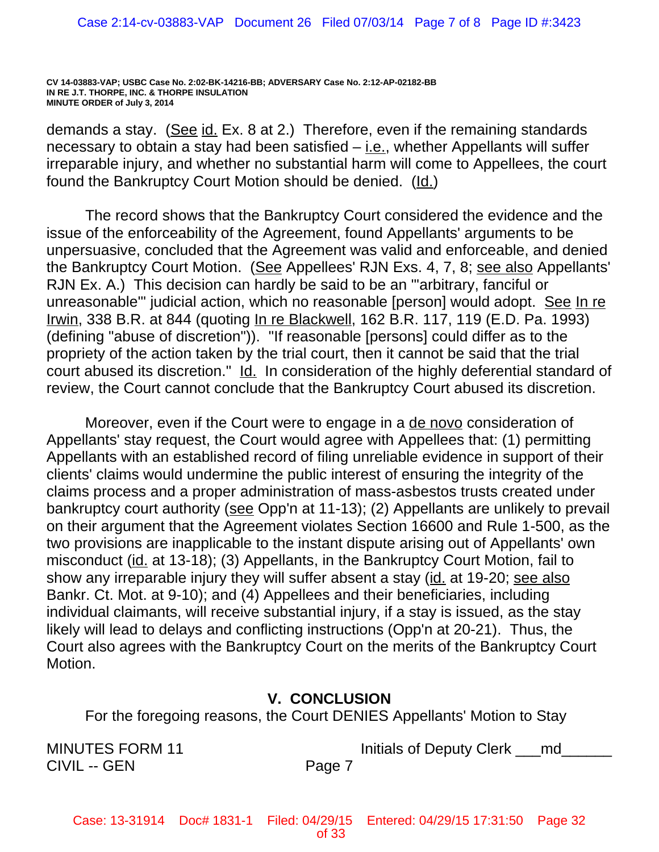demands a stay. (See id. Ex. 8 at 2.) Therefore, even if the remaining standards necessary to obtain a stay had been satisfied  $-$  *i.e.*, whether Appellants will suffer irreparable injury, and whether no substantial harm will come to Appellees, the court found the Bankruptcy Court Motion should be denied. (Id.)

The record shows that the Bankruptcy Court considered the evidence and the issue of the enforceability of the Agreement, found Appellants' arguments to be unpersuasive, concluded that the Agreement was valid and enforceable, and denied the Bankruptcy Court Motion. (See Appellees' RJN Exs. 4, 7, 8; see also Appellants' RJN Ex. A.) This decision can hardly be said to be an "'arbitrary, fanciful or unreasonable'" judicial action, which no reasonable [person] would adopt. See In re Irwin, 338 B.R. at 844 (quoting In re Blackwell, 162 B.R. 117, 119 (E.D. Pa. 1993) (defining "abuse of discretion")). "If reasonable [persons] could differ as to the propriety of the action taken by the trial court, then it cannot be said that the trial court abused its discretion." Id. In consideration of the highly deferential standard of review, the Court cannot conclude that the Bankruptcy Court abused its discretion.

Moreover, even if the Court were to engage in a de novo consideration of Appellants' stay request, the Court would agree with Appellees that: (1) permitting Appellants with an established record of filing unreliable evidence in support of their clients' claims would undermine the public interest of ensuring the integrity of the claims process and a proper administration of mass-asbestos trusts created under bankruptcy court authority (see Opp'n at 11-13); (2) Appellants are unlikely to prevail on their argument that the Agreement violates Section 16600 and Rule 1-500, as the two provisions are inapplicable to the instant dispute arising out of Appellants' own misconduct (id. at 13-18); (3) Appellants, in the Bankruptcy Court Motion, fail to show any irreparable injury they will suffer absent a stay (id. at 19-20; see also Bankr. Ct. Mot. at 9-10); and (4) Appellees and their beneficiaries, including individual claimants, will receive substantial injury, if a stay is issued, as the stay likely will lead to delays and conflicting instructions (Opp'n at 20-21). Thus, the Court also agrees with the Bankruptcy Court on the merits of the Bankruptcy Court Motion.

# **V. CONCLUSION**

For the foregoing reasons, the Court DENIES Appellants' Motion to Stay

CIVIL -- GEN Page 7